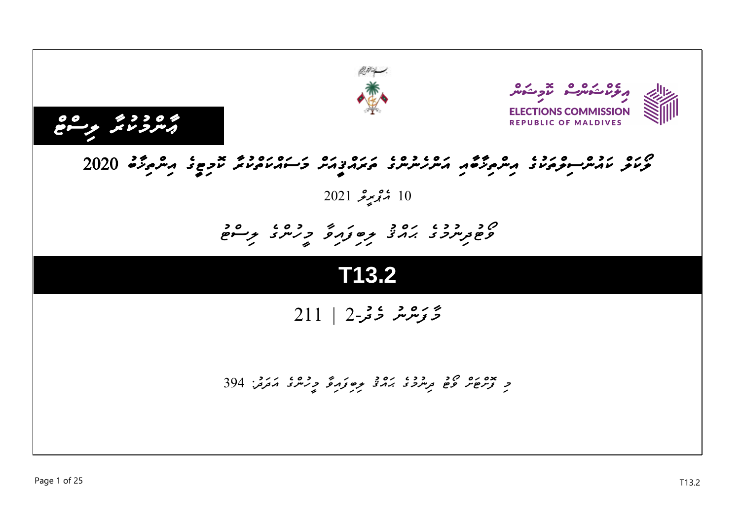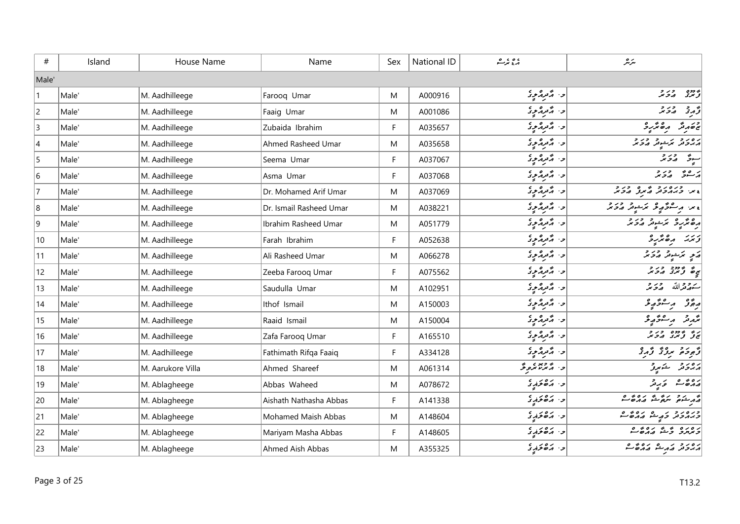| #              | Island | House Name        | Name                    | Sex       | National ID | ، ه ، ره<br>د ، برگ                    | ىئرىتر                                                                                               |
|----------------|--------|-------------------|-------------------------|-----------|-------------|----------------------------------------|------------------------------------------------------------------------------------------------------|
| Male'          |        |                   |                         |           |             |                                        |                                                                                                      |
|                | Male'  | M. Aadhilleege    | Farooq Umar             | M         | A000916     | و٠ م <sup>7</sup> مرمر پر ځ            | و دوه د ور د<br>تر بور در هار د                                                                      |
| 2              | Male'  | M. Aadhilleege    | Faaig Umar              | M         | A001086     | د . پر پر پر دي<br>د . پر پر پر پر     | وٌ پر " در د                                                                                         |
| $\vert$ 3      | Male'  | M. Aadhilleege    | Zubaida Ibrahim         | F         | A035657     | د . گروه گروه<br>د . گروه گروه         | جقهق مقتررة                                                                                          |
| $\overline{4}$ | Male'  | M. Aadhilleege    | Ahmed Rasheed Umar      | M         | A035658     |                                        | ر ور و بر شوتر ارد و در د                                                                            |
| $\overline{5}$ | Male'  | M. Aadhilleege    | Seema Umar              | F         | A037067     | د . گهرگر دي<br>د .                    | سوځ هڅمه                                                                                             |
| $\overline{6}$ | Male'  | M. Aadhilleege    | Asma Umar               | F         | A037068     | و٠ م <sup>7</sup> مرمر پر ځ            | د ه ده در د                                                                                          |
| 7              | Male'  | M. Aadhilleege    | Dr. Mohamed Arif Umar   | M         | A037069     |                                        | גיד במחכת הייתר הכית                                                                                 |
| $\overline{8}$ | Male'  | M. Aadhilleege    | Dr. Ismail Rasheed Umar | M         | A038221     | د . م <sup>ع</sup> مرم مور             |                                                                                                      |
| $ 9\rangle$    | Male'  | M. Aadhilleege    | Ibrahim Rasheed Umar    | M         | A051779     | د . م <sup>ع</sup> مرم مور             | ו פיציק ביצייני הרבי                                                                                 |
| $ 10\rangle$   | Male'  | M. Aadhilleege    | Farah Ibrahim           | F         | A052638     | د <sub>•</sub> مُروموٍ دِ کا           | زىر رەپزىر                                                                                           |
| 11             | Male'  | M. Aadhilleege    | Ali Rasheed Umar        | ${\sf M}$ | A066278     |                                        | كالمي الكراشوقر الأقراقر                                                                             |
| 12             | Male'  | M. Aadhilleege    | Zeeba Farooq Umar       | F         | A075562     |                                        | نې خەردىن دىر د                                                                                      |
| 13             | Male'  | M. Aadhilleege    | Saudulla Umar           | ${\sf M}$ | A102951     | د· <sub>م</sub> گوره و <sup>چ</sup>    | حصرة الله صحيحه                                                                                      |
| 14             | Male'  | M. Aadhilleege    | Ithof Ismail            | ${\sf M}$ | A150003     | و· م <sup>5</sup> مرمرم <sub>و</sub> ء | وچۇ رىشۇرچ                                                                                           |
| 15             | Male'  | M. Aadhilleege    | Raaid Ismail            | ${\sf M}$ | A150004     | و٠ هُ مِره مِيءَ                       | بمرمر مر عنور و                                                                                      |
| 16             | Male'  | M. Aadhilleege    | Zafa Farooq Umar        | F         | A165510     | و٠ هُ مِره مِيءَ                       | ן 2 במכן 2 בן 2<br>ג'צ' צ'ינג' בריינג                                                                |
| 17             | Male'  | M. Aadhilleege    | Fathimath Rifga Faaig   | F         | A334128     | و٠ م <sup>7</sup> مرمر پر ځ            | توجدة بروثة ترمره                                                                                    |
| 18             | Male'  | M. Aarukore Villa | Ahmed Shareef           | M         | A061314     | د . پ <sup>ر</sup> وبر، برو د          | پره رو په شوموړ                                                                                      |
| 19             | Male'  | M. Ablagheege     | Abbas Waheed            | M         | A078672     | -<br>د . مگرمونو د                     | ىرە ئەر ئەر                                                                                          |
| 20             | Male'  | M. Ablagheege     | Aishath Nathasha Abbas  | F         | A141338     | و· مەھىخەرى                            | و الله عن الله عن الله عن الله عن الله عن الله عن الله عن الله عن الله عن الله عن الله عن الله عن ال |
| 21             | Male'  | M. Ablagheege     | Mohamed Maish Abbas     | M         | A148604     | - رەۋزى                                | כגתכת כתים גם כ                                                                                      |
| 22             | Male'  | M. Ablagheege     | Mariyam Masha Abbas     | F         | A148605     | —<br> - رەۋىزى                         | رەرە پەيدە رەپرە                                                                                     |
| 23             | Male'  | M. Ablagheege     | <b>Ahmed Aish Abbas</b> | ${\sf M}$ | A355325     | و· مەھۇم ئ                             | גיבל ג'ול ג'ולם                                                                                      |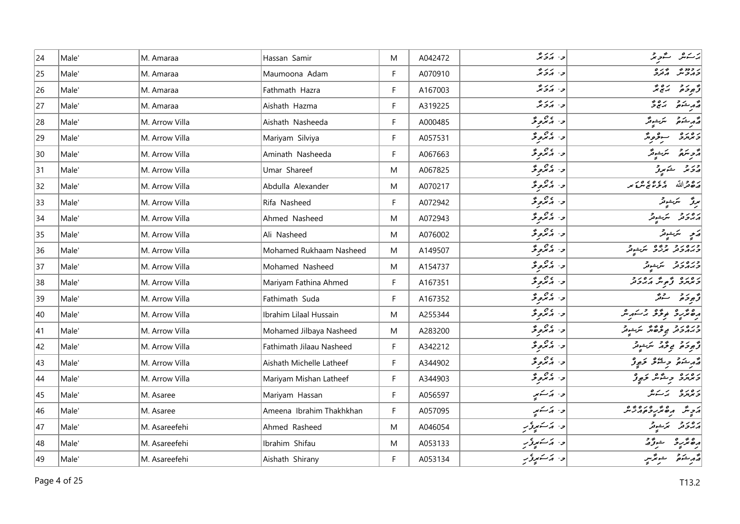| 24 | Male' | M. Amaraa      | Hassan Samir             | M           | A042472 | ە . ئەزىتر               | ىر سەيىر سەھ بىر                                    |
|----|-------|----------------|--------------------------|-------------|---------|--------------------------|-----------------------------------------------------|
| 25 | Male' | M. Amaraa      | Maumoona Adam            | F           | A070910 | ە . ئەزىتر               | ر دود و.<br>تر در س                                 |
| 26 | Male' | M. Amaraa      | Fathmath Hazra           | $\mathsf F$ | A167003 | ە . ئەۋىتر               | بر ہ مجہ<br>بر ہم تیر<br>و مر د<br>اقرامو خانو      |
| 27 | Male' | M. Amaraa      | Aishath Hazma            | F           | A319225 | ە . ئەۋىتر               | برەپچ<br>وكرم شكرته                                 |
| 28 | Male' | M. Arrow Villa | Aishath Nasheeda         | F           | A000485 | - پرچمونځه               | ۇرمۇق سەمبۇ                                         |
| 29 | Male' | M. Arrow Villa | Mariyam Silviya          | F           | A057531 | ار، پژوځو                | سوقرمرمحر<br>ر ه ر ه<br><del>و</del> بوبرو          |
| 30 | Male' | M. Arrow Villa | Aminath Nasheeda         | F           | A067663 | د بمموظ                  | أأترجم أتراسي وأراد                                 |
| 31 | Male' | M. Arrow Villa | Umar Shareef             | M           | A067825 | - ممروِدً                | ەر ئەيرۇ                                            |
| 32 | Male' | M. Arrow Villa | Abdulla Alexander        | M           | A070217 | اد بمعمومً               | برە دالله<br>، ، <i>، ، ، ، ،</i><br>مرمز نم مربع س |
| 33 | Male' | M. Arrow Villa | Rifa Nasheed             | F           | A072942 | و· مېموځ                 | <sub>موق</sub> ة   مترسفية متر<br>  مرق             |
| 34 | Male' | M. Arrow Villa | Ahmed Nasheed            | M           | A072943 | ار ، دېموځه              | رەرچە سەردە<br>مەركى سەر                            |
| 35 | Male' | M. Arrow Villa | Ali Nasheed              | M           | A076002 | د . د بروځ               | كالمح الكرشوقر                                      |
| 36 | Male' | M. Arrow Villa | Mohamed Rukhaam Nasheed  | M           | A149507 | اد . د نگروڅ             | ور ٥ رو ووه مرشونه<br>وبروونه برگرو سرشونه          |
| 37 | Male' | M. Arrow Villa | Mohamed Nasheed          | M           | A154737 | د بمموظ                  | -<br>כגובני תנייני                                  |
| 38 | Male' | M. Arrow Villa | Mariyam Fathina Ahmed    | F           | A167351 | - پرچمونځه               | و وره و و شهر دور د                                 |
| 39 | Male' | M. Arrow Villa | Fathimath Suda           | F           | A167352 | و· ويروتر                | أوالمجا وأحرارهم وستحر                              |
| 40 | Male' | M. Arrow Villa | Ibrahim Lilaal Hussain   | M           | A255344 | د . م <sup>رم</sup> وڈ   | رەپرىرى مرۇمى جاسكىرىش                              |
| 41 | Male' | M. Arrow Villa | Mohamed Jilbaya Nasheed  | M           | A283200 | اد بمعمومً               | وره د و و ه پژه تر شوتر                             |
| 42 | Male' | M. Arrow Villa | Fathimath Jilaau Nasheed | F.          | A342212 | اد بمعمومً               | أزًو دَمْ وِ دُمْ سَ شِرْ                           |
| 43 | Male' | M. Arrow Villa | Aishath Michelle Latheef | F.          | A344902 | <sub>و: م</sub> رچوعهٔ   | أأرجنني ويحوق وتواز                                 |
| 44 | Male' | M. Arrow Villa | Mariyam Mishan Latheef   | F           | A344903 | د بمموقه                 | دەرە بەشكە ئېرۇ                                     |
| 45 | Male' | M. Asaree      | Mariyam Hassan           | $\mathsf F$ | A056597 | وستمر سكوبير             | دەرە برىكى                                          |
| 46 | Male' | M. Asaree      | Ameena Ibrahim Thakhkhan | F           | A057095 | <br> د . م کمبر          | أزويتر المصرير ومرود والمر                          |
| 47 | Male' | M. Asareefehi  | Ahmed Rasheed            | M           | A046054 | د · مەسىمبرۇر            | أبره رو برشوتر                                      |
| 48 | Male' | M. Asareefehi  | Ibrahim Shifau           | M           | A053133 | <i>د · مەسكىپ</i> وگرىيە | ەرھ ئ <sup>ۆ</sup> ر ۋ<br>شوژه ً                    |
| 49 | Male' | M. Asareefehi  | Aishath Shirany          | F           | A053134 | ە · ئەسكىرۇپ             | ر<br>د گرمشکو شورگرمبر                              |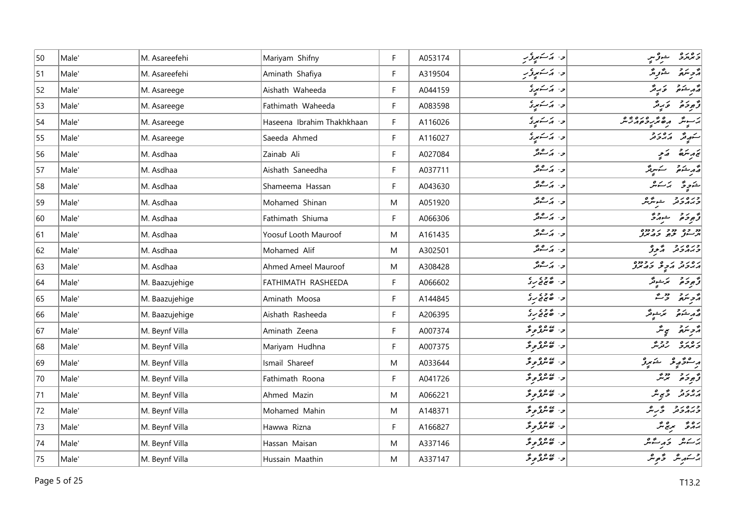| 50 | Male' | M. Asareefehi  | Mariyam Shifny             | F         | A053174 | <sub>وال</sub> م كەسكەپرۇپ <sub></sub> | تر جو بر ج<br>ىشوۋىيو.                              |
|----|-------|----------------|----------------------------|-----------|---------|----------------------------------------|-----------------------------------------------------|
| 51 | Male' | M. Asareefehi  | Aminath Shafiya            | F         | A319504 | <sub>و</sub> . مەسىمبرۇر               | شَّتَو پُرَّ<br>أأروسه                              |
| 52 | Male' | M. Asareege    | Aishath Waheeda            | F         | A044159 | و٠ مرڪبوري<br>س                        | مەرشىق قەرىگە                                       |
| 53 | Male' | M. Asareege    | Fathimath Waheeda          | F         | A083598 | و٠ مرڪبوري<br>س                        | وٌموحَمٌ وَرِمَّرٌ                                  |
| 54 | Male' | M. Asareege    | Haseena Ibrahim Thakhkhaan | F         | A116026 | <sub>چ</sub> ، پر سکھیږي               | برسېتر                                              |
| 55 | Male' | M. Asareege    | Saeeda Ahmed               | F         | A116027 | <sub>وال</sub> مر سكوري                | سَمرٍ مَدْ الْمَدَّدَ مَدْ                          |
| 56 | Male' | M. Asdhaa      | Zainab Ali                 | F         | A027084 | و۰ در کشور                             | ىم ئىر ئىش ھەم                                      |
| 57 | Male' | M. Asdhaa      | Aishath Saneedha           | F         | A037711 | و به کره پخر                           | و ديده سکسروگر<br>در شکو                            |
| 58 | Male' | M. Asdhaa      | Shameema Hassan            | F         | A043630 | و پر کردگر                             | لشوق يمكس                                           |
| 59 | Male' | M. Asdhaa      | Mohamed Shinan             | M         | A051920 | و۰ مرکبوتر                             | ورەرو ھەر                                           |
| 60 | Male' | M. Asdhaa      | Fathimath Shiuma           | F         | A066306 | و . مرکبه هگر                          | أوالمحمدة المستوردة                                 |
| 61 | Male' | M. Asdhaa      | Yoosuf Looth Mauroof       | M         | A161435 | و کر گروگر                             | ח כם חבר גבחבם<br>ת—נצ בת בת <i>בג</i>              |
| 62 | Male' | M. Asdhaa      | Mohamed Alif               | M         | A302501 | و۰ مرکبوتر                             | ورەرد ئەرۋ                                          |
| 63 | Male' | M. Asdhaa      | <b>Ahmed Ameel Mauroof</b> | M         | A308428 | و۰ در کشور                             | גם גב גב בהיום<br>הגבת הבב בהית                     |
| 64 | Male' | M. Baazujehige | FATHIMATH RASHEEDA         | F         | A066602 | و .<br> و . ځم ځ ځ رو                  | قرموخرة سيمشوش                                      |
| 65 | Male' | M. Baazujehige | Aminath Moosa              | F         | A144845 | $rac{c}{\sqrt{2}}$                     | ړ و سره د د                                         |
| 66 | Male' | M. Baazujehige | Aishath Rasheeda           | F         | A206395 | $rac{c}{\sqrt{25}}$                    | و<br>مارشكامى مرشوقر                                |
| 67 | Male' | M. Beynf Villa | Aminath Zeena              | F         | A007374 | د. ﷺ وقر                               | ړې سره پې ش                                         |
| 68 | Male' | M. Beynf Villa | Mariyam Hudhna             | F         | A007375 |                                        | ر ہ ر ہ<br><del>ر</del> بربر ژ<br>و و پر<br>ر تعریش |
| 69 | Male' | M. Beynf Villa | Ismail Shareef             | M         | A033644 |                                        | ر شۇرۇ شەيرۇ                                        |
| 70 | Male' | M. Beynf Villa | Fathimath Roona            | F         | A041726 | د ، ع <sup>دو</sup> ه و دَ             | و ده در د                                           |
| 71 | Male' | M. Beynf Villa | Ahmed Mazin                | M         | A066221 |                                        | أرەر ئىس ئىس ئىس                                    |
| 72 | Male' | M. Beynf Villa | Mohamed Mahin              | M         | A148371 | د. ئەمىروپۇ                            | ورەرو ۇرر                                           |
| 73 | Male' | M. Beynf Villa | Hawwa Rizna                | F         | A166827 |                                        | برە ئەسرچە ئىگە                                     |
| 74 | Male' | M. Beynf Villa | Hassan Maisan              | M         | A337146 | - مەمۇمۇ                               | ىزىكىش كەرىگىش                                      |
| 75 | Male' | M. Beynf Villa | Hussain Maathin            | ${\sf M}$ | A337147 | د ، ئ <sup>ەھ</sup> رىگرىز ئىگە        | برسكر مكر ومحافظ المحمد                             |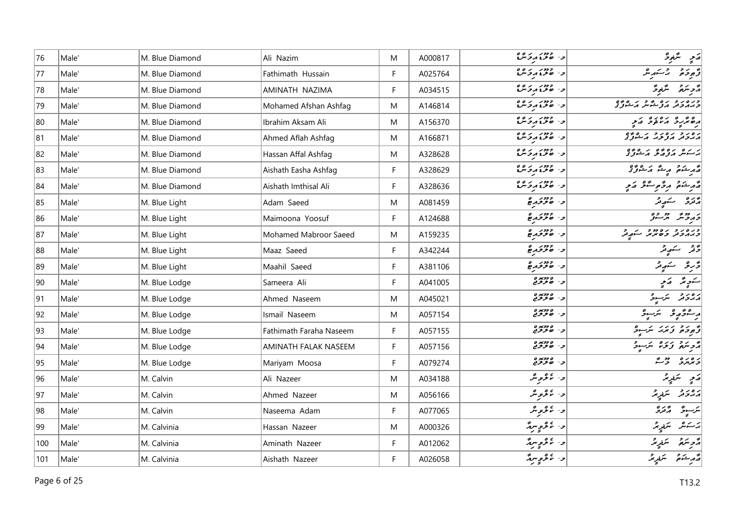| 76  | Male' | M. Blue Diamond | Ali Nazim               | M         | A000817 | בי <i>סיב</i> ות ביתו                            | ړنو شموه<br>و                            |
|-----|-------|-----------------|-------------------------|-----------|---------|--------------------------------------------------|------------------------------------------|
| 77  | Male' | M. Blue Diamond | Fathimath Hussain       | F         | A025764 | و . په دې مرکز مړه<br>و . په دې مرکز مړه         | وموده برسمه                              |
| 78  | Male' | M. Blue Diamond | AMINATH NAZIMA          | F         | A034515 | כי סיכון קסם<br>כי סיכון קטעו                    | أأرسن أأتبو                              |
| 79  | Male' | M. Blue Diamond | Mohamed Afshan Ashfag   | M         | A146814 | כי <i>סיב</i> ו קביתי                            | ورەر درەر دەر كەھۋە                      |
| 80  | Male' | M. Blue Diamond | Ibrahim Aksam Ali       | M         | A156370 | בי סי <i>ב</i> ו קבית 2<br>כי סי <i>ב</i> ו קבית | رەپرىدى مەنزە مەر                        |
| 81  | Male' | M. Blue Diamond | Ahmed Aflah Ashfaq      | M         | A166871 | כי <i>סיב</i> ו קביתי                            | رەر دەرد رەپتەر<br>مەدومە مۇنۇر مەشۇرى   |
| 82  | Male' | M. Blue Diamond | Hassan Affal Ashfaq     | M         | A328628 | בי סי <i>ב</i> ו קבית 2<br>כי סי <i>ב</i> ו קבית | ر ده ره ده و د ووه<br>پرستر مروز و مشرور |
| 83  | Male' | M. Blue Diamond | Aishath Easha Ashfag    | F         | A328629 | בי סברת בטי<br>בי סברת הבית                      | أمر مند أو المستوري                      |
| 84  | Male' | M. Blue Diamond | Aishath Imthisal Ali    | F         | A328636 | כי סיבגוק ביתי<br>כי סיבגוק ביתי                 | وكروشته وده وسوفه وكمو                   |
| 85  | Male' | M. Blue Light   | Adam Saeed              | M         | A081459 | $e^{722}$                                        | أوره ستهيتر                              |
| 86  | Male' | M. Blue Light   | Maimoona Yoosuf         | F         | A124688 | 6, 372.7                                         | בובר הרבים בי                            |
| 87  | Male' | M. Blue Light   | Mohamed Mabroor Saeed   | ${\sf M}$ | A159235 | 6, 375                                           | وره رو ره دو د کردگر                     |
| 88  | Male' | M. Blue Light   | Maaz Saeed              | F         | A342244 | ومستحرم                                          | لمحتفر سنهيض                             |
| 89  | Male' | M. Blue Light   | Maahil Saeed            | F         | A381106 | $e^{372}$                                        | ۇرۇ سەرد                                 |
| 90  | Male' | M. Blue Lodge   | Sameera Ali             | F         | A041005 | ە دەبىرە<br><del>ر</del> · ھ <i>ى</i> رىرى       | سەچەتكە ئەمچە                            |
| 91  | Male' | M. Blue Lodge   | Ahmed Naseem            | M         | A045021 | ە دوبرە<br>ت                                     |                                          |
| 92  | Male' | M. Blue Lodge   | Ismail Naseem           | M         | A057154 | ە دوبرە<br>ت                                     | ر عۇرپۇ سىرد                             |
| 93  | Male' | M. Blue Lodge   | Fathimath Faraha Naseem | F         | A057155 | ە دەبىرە<br>تەسىم مەمرىي                         | وتجوحا والمركز الكرسوم                   |
| 94  | Male' | M. Blue Lodge   | AMINATH FALAK NASEEM    | F         | A057156 | ە « بەدە<br>تەسىم ئىس                            | أأروسكم وكافره الكرسوف                   |
| 95  | Male' | M. Blue Lodge   | Mariyam Moosa           | F         | A079274 | ه دومبره<br>د ۱ ه <del>ت</del> رمز تع            | رەرە دور                                 |
| 96  | Male' | M. Calvin       | Ali Nazeer              | M         | A034188 | د ، ئۇھ <sub>رى</sub> ش                          | مَرِ سَنَدِيرٌ                           |
| 97  | Male' | M. Calvin       | Ahmed Nazeer            | M         | A056166 | ى ئاتۇ <sub>م</sub> بىر                          | رەرد سەرتر                               |
| 98  | Male' | M. Calvin       | Naseema Adam            | F         | A077065 | د· ئۇق <sub>رى</sub> ر                           | يرَسِيرَ = ارْتَرْدَ                     |
| 99  | Male' | M. Calvinia     | Hassan Nazeer           | M         | A000326 | و· مُؤْوِسِيدٌ                                   | ىزىكىش سىئىرىم                           |
| 100 | Male' | M. Calvinia     | Aminath Nazeer          | F         | A012062 | <br> و· غۇمۇمىيە                                 | لمجمعه يتموهم<br>سكغريمه                 |
| 101 | Male' | M. Calvinia     | Aishath Nazeer          | F         | A026058 | و ، ئۈۋمىدە                                      | أقهر مشكاته المتمني تتركم                |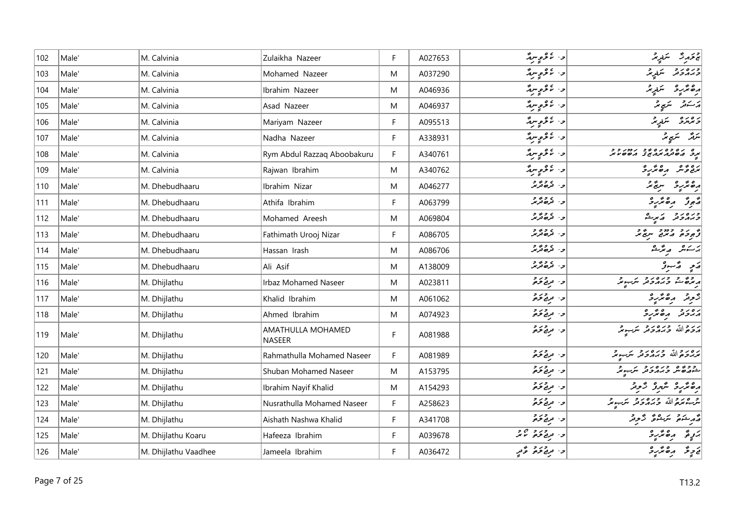| 102 | Male' | M. Calvinia          | Zulaikha Nazeer                    | F  | A027653 | و· عُكْوَمٍ سِرْمٌ              | ە ئە <i>رەڭ سەندى</i> گە             |
|-----|-------|----------------------|------------------------------------|----|---------|---------------------------------|--------------------------------------|
| 103 | Male' | M. Calvinia          | Mohamed Nazeer                     | M  | A037290 | <br> و· مُأكومٍ سِيدٌ           | ورەر ئەترىر                          |
| 104 | Male' | M. Calvinia          | Ibrahim Nazeer                     | M  | A046936 | د . غوړم پېړنه                  | رەپزىر سەرتىر                        |
| 105 | Male' | M. Calvinia          | Asad Nazeer                        | M  | A046937 | - ئۇھ <sub>ۇ</sub> سى <i>د</i>  | ئەسكەنىڭ سىرىپى تىر                  |
| 106 | Male' | M. Calvinia          | Mariyam Nazeer                     | F. | A095513 | و· مُأثومٍ مِنْ مُ              | د پرو په سرز پر                      |
| 107 | Male' | M. Calvinia          | Nadha Nazeer                       | F. | A338931 | و. ئۇق <sub>ۇم</sub> ىيەد       | لترقر التربي تر                      |
| 108 | Male' | M. Calvinia          | Rym Abdul Razzaq Aboobakuru        | F. | A340761 | و ، ئۇقۇمبرۇ                    | 22/22/240/02010<br>24 RODN 35 RRADON |
| 109 | Male' | M. Calvinia          | Rajwan Ibrahim                     | M  | A340762 | و· ئۈۋە بىرەڭر                  | رەپەە مەئرىر                         |
| 110 | Male' | M. Dhebudhaaru       | Ibrahim Nizar                      | M  | A046277 | ے وی و<br>و۰ تر <i>ھ</i> تر پر  | رەترىر سەتر                          |
| 111 | Male' | M. Dhebudhaaru       | Athifa Ibrahim                     | F  | A063799 | ے وی و<br>و۰ تر <i>ه تر</i> یمر | ړ وگړ د ځمکړی                        |
| 112 | Male' | M. Dhebudhaaru       | Mohamed Areesh                     | M  | A069804 | ړ د د د<br>د ۰ تره تر پر        | ورەرو كەيدى                          |
| 113 | Male' | M. Dhebudhaaru       | Fathimath Urooj Nizar              | F  | A086705 | ے وی و<br>و۰ تر <i>ھ</i> تربر   | و دو دودو سره د                      |
| 114 | Male' | M. Dhebudhaaru       | Hassan Irash                       | M  | A086706 | ے وی و<br>و۰ تر <i>ھ</i> تربر   | پرستمبر پرسمند                       |
| 115 | Male' | M. Dhebudhaaru       | Ali Asif                           | M  | A138009 | ے وی و<br>و۰ تر <i>ھ</i> تربر   | أەيج اەتسىرى                         |
| 116 | Male' | M. Dhijlathu         | <b>Irbaz Mohamed Naseer</b>        | M  | A023811 | وسورة وكرة                      | و بره د دره در مرسور                 |
| 117 | Male' | M. Dhijlathu         | Khalid Ibrahim                     | M  | A061062 | و· مرقع قرة                     | تزوقر المقترعة                       |
| 118 | Male' | M. Dhijlathu         | Ahmed Ibrahim                      | M  | A074923 | و· مريح توگير                   | ره دو ده مدره                        |
| 119 | Male' | M. Dhijlathu         | AMATHULLA MOHAMED<br><b>NASEER</b> | F  | A081988 | وسيرة وكرم                      | برروالله وبره رو برب                 |
| 120 | Male' | M. Dhijlathu         | Rahmathulla Mohamed Naseer         | F  | A081989 | وسورة وكرة                      | برورد الله وبرورد بربرد              |
| 121 | Male' | M. Dhijlathu         | Shuban Mohamed Naseer              | M  | A153795 | و . مرج وه.<br> -               | د و د په ده د د د د د د د            |
| 122 | Male' | M. Dhijlathu         | Ibrahim Nayif Khalid               | M  | A154293 | و· مريح توگير                   | أرەغرىر ئى ئىرو ئىرىز                |
| 123 | Male' | M. Dhijlathu         | Nusrathulla Mohamed Naseer         | F  | A258623 | د ۰ مرج څرم                     | مربوعها الله وبرورد مكرب             |
| 124 | Male' | M. Dhijlathu         | Aishath Nashwa Khalid              | F  | A341708 | وسويق قرة                       | أقهر شوه الترشوش الكرفر              |
| 125 | Male' | M. Dhijlathu Koaru   | Hafeeza Ibrahim                    | F  | A039678 | وسمع توجر والممتحد              | برَوٍ فَرِ مِنْ مَعَرَ بِ            |
| 126 | Male' | M. Dhijlathu Vaadhee | Jameela Ibrahim                    | F  | A036472 | و· ترقع تو حٌ ترٍ               | ق ج قر م م م تر به 3                 |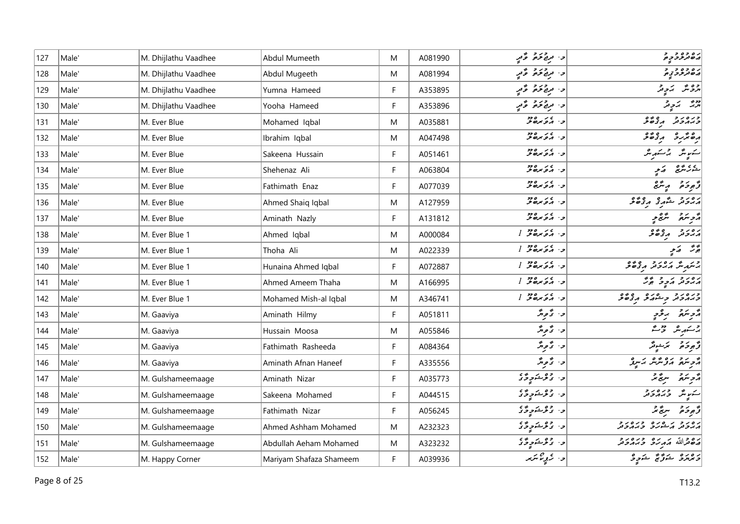| 127 | Male' | M. Dhijlathu Vaadhee | Abdul Mumeeth           | M           | A081990 | و٠ تريخ و و و و پر                                                                                                                                                                                                     | ړه وه و <sub>چ</sub>                         |
|-----|-------|----------------------|-------------------------|-------------|---------|------------------------------------------------------------------------------------------------------------------------------------------------------------------------------------------------------------------------|----------------------------------------------|
| 128 | Male' | M. Dhijlathu Vaadhee | Abdul Mugeeth           | M           | A081994 | و· مرج قرصح حٌ مي                                                                                                                                                                                                      | ر ه د ه د په د                               |
| 129 | Male' | M. Dhijlathu Vaadhee | Yumna Hameed            | F           | A353895 | و· مرة وُمْ وَّمْرٍ                                                                                                                                                                                                    | أوه پژ بروتر                                 |
| 130 | Male' | M. Dhijlathu Vaadhee | Yooha Hameed            | F           | A353896 | و· مرج وَجْ حَ مَدٍ                                                                                                                                                                                                    | دور بروتر                                    |
| 131 | Male' | M. Ever Blue         | Mohamed Iqbal           | M           | A035881 | ן יום מסיד.<br>המפי <i>עסיד</i>                                                                                                                                                                                        |                                              |
| 132 | Male' | M. Ever Blue         | Ibrahim Iqbal           | M           | A047498 | י הפינסיב<br>כ· הפינסיב                                                                                                                                                                                                | مەھرىر مۆھر                                  |
| 133 | Male' | M. Ever Blue         | Sakeena Hussain         | F           | A051461 | י הפינסיב<br>כי הפינסיב                                                                                                                                                                                                | سكىرىنى جر سكورىنى                           |
| 134 | Male' | M. Ever Blue         | Shehenaz Ali            | F           | A063804 | י הפינסיב<br>כי הפינסיב                                                                                                                                                                                                | شركر شرق مركز كرامج                          |
| 135 | Male' | M. Ever Blue         | Fathimath Enaz          | F.          | A077039 | י גם מסיד<br>כי גם <i>ת</i> סי <i>ד</i>                                                                                                                                                                                | قرم قريدهم ويترجى                            |
| 136 | Male' | M. Ever Blue         | Ahmed Shaiq Iqbal       | M           | A127959 | י הי מסמ<br>כי הפימסיב                                                                                                                                                                                                 |                                              |
| 137 | Male' | M. Ever Blue         | Aminath Nazly           | F           | A131812 | י ג' ג'סמי<br>כ' ג'ס"ד ב                                                                                                                                                                                               | ومحر سترام وأنتقي ومحمج ومحمد                |
| 138 | Male' | M. Ever Blue 1       | Ahmed Iqbal             | M           | A000084 | $132222 - 372$                                                                                                                                                                                                         | גפנק השיכ                                    |
| 139 | Male' | M. Ever Blue 1       | Thoha Ali               | M           | A022339 | 130/20.76                                                                                                                                                                                                              | ۾ پڻ ماڻي                                    |
| 140 | Male' | M. Ever Blue 1       | Hunaina Ahmed Iqbal     | $\mathsf F$ | A072887 | 130/27.5                                                                                                                                                                                                               | و مر ش دره در و وه و                         |
| 141 | Male' | M. Ever Blue 1       | Ahmed Ameem Thaha       | M           | A166995 | و· مؤسوفة 1                                                                                                                                                                                                            | رەرو <sub>م</sub> ېرو پې                     |
| 142 | Male' | M. Ever Blue 1       | Mohamed Mish-al Iqbal   | M           | A346741 | $130 \times 20.5$                                                                                                                                                                                                      | ورەر د دەر دەرە دە                           |
| 143 | Male' | M. Gaaviya           | Aminath Hilmy           | F.          | A051811 | و· گوهگ                                                                                                                                                                                                                | أأرجع برقرح                                  |
| 144 | Male' | M. Gaaviya           | Hussain Moosa           | M           | A055846 | و· ڈوِٹر                                                                                                                                                                                                               | بر کے مر شر حر ش                             |
| 145 | Male' | M. Gaaviya           | Fathimath Rasheeda      | F           | A084364 | و· گورگر                                                                                                                                                                                                               | تزجوخا محمشوش                                |
| 146 | Male' | M. Gaaviya           | Aminath Afnan Haneef    | F.          | A335556 | ه . د څو پژ                                                                                                                                                                                                            | أأروسهم أوقيته بمسرو                         |
| 147 | Male' | M. Gulshameemaage    | Aminath Nizar           | F.          | A035773 | وكوه والمتكافي والمحامى                                                                                                                                                                                                | أأروبترة البريجير                            |
| 148 | Male' | M. Gulshameemaage    | Sakeena Mohamed         | $\mathsf F$ | A044515 | و٠ وگوڅو وو                                                                                                                                                                                                            | سەر شەھرەر 2                                 |
| 149 | Male' | M. Gulshameemaage    | Fathimath Nizar         | F           | A056245 | $\left  \begin{array}{c} \mathcal{E}_{\mathcal{E}}(\mathcal{E}_{\mathcal{E}}) \geq \mathcal{E}_{\mathcal{E}}(\mathcal{E}_{\mathcal{E}}) \geq \mathcal{E}_{\mathcal{E}}(\mathcal{E}_{\mathcal{E}}) \end{array} \right $ | أزودكم ستأتر                                 |
| 150 | Male' | M. Gulshameemaage    | Ahmed Ashham Mohamed    | M           | A232323 | وسی و شکو دی                                                                                                                                                                                                           | ره رو بر ۵۷۵ وره رو<br>גړونر پرشررو وبرټرونر |
| 151 | Male' | M. Gulshameemaage    | Abdullah Aeham Mohamed  | M           | A323232 | $ s^s_{\mathcal{S}}\hat{z}^{\mathcal{L}}\hat{z}^{\mathcal{S}}_{\mathcal{S}} $                                                                                                                                          | أرووالله مزمر وبرورو                         |
| 152 | Male' | M. Happy Corner      | Mariyam Shafaza Shameem | F           | A039936 | د که دیگر متربر                                                                                                                                                                                                        | رەرە خۇڭ خۇرۇ                                |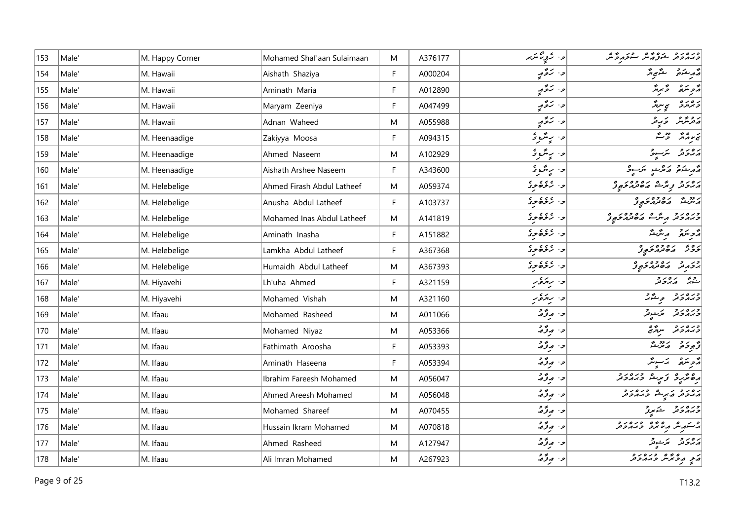| 153 | Male' | M. Happy Corner | Mohamed Shaf'aan Sulaimaan | M           | A376177 | د ، ځږوړ تنگهد                      | ورەرو رومو روم دېر ده.                           |
|-----|-------|-----------------|----------------------------|-------------|---------|-------------------------------------|--------------------------------------------------|
| 154 | Male' | M. Hawaii       | Aishath Shaziya            | F           | A000204 | <sub>ح</sub> . ئەقەر                | و<br>درخور خور                                   |
| 155 | Male' | M. Hawaii       | Aminath Maria              | F           | A012890 | و· رَوَّړٍ                          | تر بر بر<br>أرمز ترة                             |
| 156 | Male' | M. Hawaii       | Maryam Zeeniya             | F           | A047499 | ار کارو                             | دەرە پېرىگە                                      |
| 157 | Male' | M. Hawaii       | Adnan Waheed               | M           | A055988 | و· ئەقەر                            | ر و و و .<br>مسرگر مرکز می                       |
| 158 | Male' | M. Heenaadige   | Zakiyya Moosa              | F           | A094315 | د په پېڅونه                         | ى بورى ھەت                                       |
| 159 | Male' | M. Heenaadige   | Ahmed Naseem               | M           | A102929 | ح <sup>.</sup> پەنگى <sub>ۋ</sub> ى | أبرەر د سرگرو                                    |
| 160 | Male' | M. Heenaadige   | Aishath Arshee Naseem      | F           | A343600 | ح به په منځو ځا                     | وأوسقي وروسي لترسو                               |
| 161 | Male' | M. Helebelige   | Ahmed Firash Abdul Latheef | M           | A059374 | اد . روه در                         | رەرد رېگى رەدەر د                                |
| 162 | Male' | M. Helebelige   | Anusha Abdul Latheef       | F           | A103737 | و . روه و .                         | ر دو ده ده ده دو و                               |
| 163 | Male' | M. Helebelige   | Mohamed Inas Abdul Latheef | M           | A141819 | ی بر ده دی<br>د ۱ گروه وی           | ورەر دېم شهر دە دەر دە                           |
| 164 | Male' | M. Helebelige   | Aminath Inasha             | F           | A151882 | -- روه ور                           | وحريتهم ويتربثه                                  |
| 165 | Male' | M. Helebelige   | Lamkha Abdul Latheef       | F.          | A367368 | و . روه و .<br>و . روه و د          | روبه رەدەر و                                     |
| 166 | Male' | M. Helebelige   | Humaidh Abdul Latheef      | M           | A367393 | ر مروه د ه<br>د گروه د              | ور و رەوەر دەر                                   |
| 167 | Male' | M. Hiyavehi     | Lh'uha Ahmed               | F           | A321159 | ح به سرگري<br>مر                    | روم برەر د                                       |
| 168 | Male' | M. Hiyavehi     | Mohamed Vishah             | M           | A321160 | ار . بەرگەبە<br>_________________   | ورەرو بەشكە                                      |
| 169 | Male' | M. Ifaau        | Mohamed Rasheed            | M           | A011066 | وسيروج                              | ورەرو كەنبەتى                                    |
| 170 | Male' | M. Ifaau        | Mohamed Niyaz              | M           | A053366 | כי <sub>בצ</sub> יצה                | כנפנ ב                                           |
| 171 | Male' | M. Ifaau        | Fathimath Aroosha          | $\mathsf F$ | A053393 | و٠ مروٌ م                           | توجوجو المتعملة                                  |
| 172 | Male' | M. Ifaau        | Aminath Haseena            | F.          | A053394 | و٠ مروٌ ۾                           | ۇچەتتى ئەسىر                                     |
| 173 | Male' | M. Ifaau        | Ibrahim Fareesh Mohamed    | M           | A056047 | בי <sub>בצ</sub> יצה                | مەر ئەر ئۇم ئەدەر د                              |
| 174 | Male' | M. Ifaau        | Ahmed Areesh Mohamed       | M           | A056048 | وسيروج                              | رەر د پرے درەر د                                 |
| 175 | Male' | M. Ifaau        | Mohamed Shareef            | M           | A070455 | ه به دو                             | ورەرو شەرۇ                                       |
| 176 | Male' | M. Ifaau        | Hussain Ikram Mohamed      | M           | A070818 | و٠ مروٌ ۾                           | و کریمر مردم وره د و<br>پرکسکریمر مردم و برمرونر |
| 177 | Male' | M. Ifaau        | Ahmed Rasheed              | M           | A127947 | ه به دو                             | أرور و مرشوقر                                    |
| 178 | Male' | M. Ifaau        | Ali Imran Mohamed          | M           | A267923 | اد مرژه                             | ر د ده ده دره د د                                |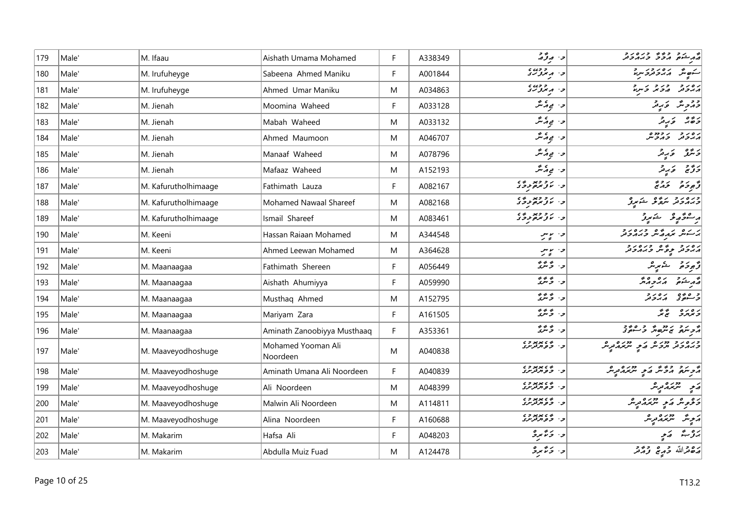| 179 | Male' | M. Ifaau             | Aishath Umama Mohamed          | F           | A338349 | وسموهم                               | ه در د د ده دره د د<br>په شو مرد د درم د                                                                                                                                                                                        |
|-----|-------|----------------------|--------------------------------|-------------|---------|--------------------------------------|---------------------------------------------------------------------------------------------------------------------------------------------------------------------------------------------------------------------------------|
| 180 | Male' | M. Irufuheyge        | Sabeena Ahmed Maniku           | F           | A001844 | و . در بودن ،<br>و . د بوتو ر د      | سكھ شهر در در در د                                                                                                                                                                                                              |
| 181 | Male' | M. Irufuheyge        | Ahmed Umar Maniku              | M           | A034863 | و . م <i>ربودی</i> ،                 | גפנים כנים ביתים                                                                                                                                                                                                                |
| 182 | Male' | M. Jienah            | Moomina Waheed                 | F           | A033128 | د· م <sub>و</sub> مگر                | 32 جرمتر - حَ بِ بِدْ                                                                                                                                                                                                           |
| 183 | Male' | M. Jienah            | Mabah Waheed                   | M           | A033132 | د· م <sub>ی</sub> ه <sup>ر</sup> مگر | كرەم كەبەتر                                                                                                                                                                                                                     |
| 184 | Male' | M. Jienah            | Ahmed Maumoon                  | M           | A046707 | د· م <sub>ی</sub> م <sup>ر</sup> مگر | ر دود ه<br>تر در س<br>پر 2 پر 3                                                                                                                                                                                                 |
| 185 | Male' | M. Jienah            | Manaaf Waheed                  | M           | A078796 | د· م <sub>ی</sub> ه <sup>ر</sup> مگر | كالمتمثل الحاسيقر                                                                                                                                                                                                               |
| 186 | Male' | M. Jienah            | Mafaaz Waheed                  | M           | A152193 | د پږمگ                               | كرومج كالمرقر                                                                                                                                                                                                                   |
| 187 | Male' | M. Kafurutholhimaage | Fathimath Lauza                | F           | A082167 | د . نور د .<br>د . نور پرور د .      | و دور دور                                                                                                                                                                                                                       |
| 188 | Male' | M. Kafurutholhimaage | Mohamed Nawaal Shareef         | M           | A082168 |                                      | ورەر دىر ئەرە ئىي ك                                                                                                                                                                                                             |
| 189 | Male' | M. Kafurutholhimaage | Ismail Shareef                 | M           | A083461 | د . گوتر و .<br>د . گوتر و برو بر د  | ر شۇر ئەر                                                                                                                                                                                                                       |
| 190 | Male' | M. Keeni             | Hassan Raiaan Mohamed          | M           | A344548 | وسيدس                                | ג גם גם כנסגב                                                                                                                                                                                                                   |
| 191 | Male' | M. Keeni             | Ahmed Leewan Mohamed           | M           | A364628 | وسي سر                               | رەرد پەھ درەرد                                                                                                                                                                                                                  |
| 192 | Male' | M. Maanaagaa         | Fathimath Shereen              | F           | A056449 | وستح شمطر                            | أرتموخا والمحموش                                                                                                                                                                                                                |
| 193 | Male' | M. Maanaagaa         | Aishath Ahumiyya               | F           | A059990 | و• وَسَمَّدَ                         | م الشيخ مدر و و ع                                                                                                                                                                                                               |
| 194 | Male' | M. Maanaagaa         | Musthaq Ahmed                  | M           | A152795 | و . تر شر                            | و ره پوه<br>تر سونونې<br>پرور و                                                                                                                                                                                                 |
| 195 | Male' | M. Maanaagaa         | Mariyam Zara                   | F           | A161505 | و٠ وَّسَمَدُ                         | ג פגם בב                                                                                                                                                                                                                        |
| 196 | Male' | M. Maanaagaa         | Aminath Zanoobiyya Musthaaq    | F           | A353361 | و . ترتیز                            | ולקיינת זיינסול קבית                                                                                                                                                                                                            |
| 197 | Male' | M. Maaveyodhoshuge   | Mohamed Yooman Ali<br>Noordeen | M           | A040838 | ه به عدد د ه<br>د ۰ گرو در تر برد    | כנסנכ ככנס גבינס ס<br>כמהכנג תכית הב ייתה בעי                                                                                                                                                                                   |
| 198 | Male' | M. Maaveyodhoshuge   | Aminath Umana Ali Noordeen     | $\mathsf F$ | A040839 | ه به عدد و د<br>د ۰ د و در تر برو    | ו בי מזה במודע בי המודע בי המודע בי היו היו היו בי היו היו בי היו היו בי היו היו בי היו בי היו בי היו בי היו ב<br>היו בי ייעם בי היו בי היו בי היו בי היו היו בי היו בי היו בי היו בי היו בי היו בי היו בי היו בי היו בי היו בי |
| 199 | Male' | M. Maaveyodhoshuge   | Ali Noordeen                   | M           | A048399 | ه به عدد د ه<br>د به گرورتر در       | أەم ئەسىم ئەسلىر                                                                                                                                                                                                                |
| 200 | Male' | M. Maaveyodhoshuge   | Malwin Ali Noordeen            | M           | A114811 | ه به عدد د ه<br>د ۰ گروهرمزری        | .<br>3 گوه شر مگر به میگرد می ش                                                                                                                                                                                                 |
| 201 | Male' | M. Maaveyodhoshuge   | Alina Noordeen                 | F           | A160688 | ه به عدد د ه<br>د ۰ گروهر ترمرد      | ג<br>גבית ייתור תיית                                                                                                                                                                                                            |
| 202 | Male' | M. Makarim           | Hafsa Ali                      | F           | A048203 | ح · ځه تم پرو                        | پرویے                                                                                                                                                                                                                           |
| 203 | Male' | M. Makarim           | Abdulla Muiz Fuad              | M           | A124478 | و٠ وَتَآمُروُ                        | برە دالله دورى وورد                                                                                                                                                                                                             |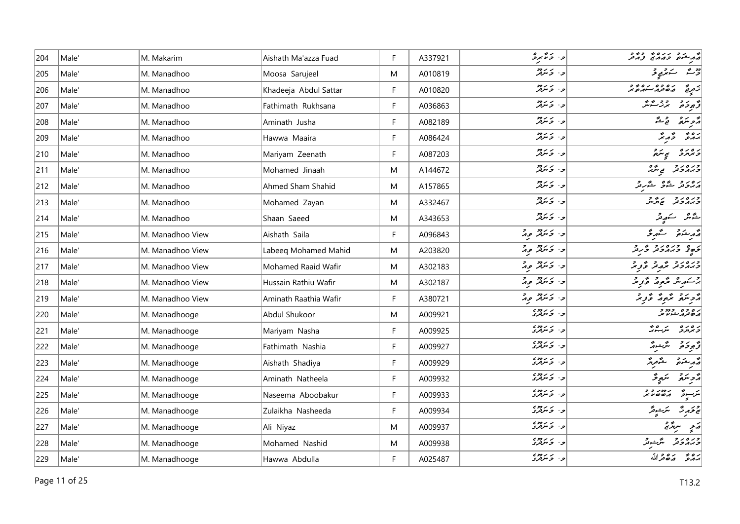| 204 | Male' | M. Makarim       | Aishath Ma'azza Fuad  | F         | A337921 | د ز ژمگرو               | د مشرح دره د و دو                 |
|-----|-------|------------------|-----------------------|-----------|---------|-------------------------|-----------------------------------|
| 205 | Male' | M. Manadhoo      | Moosa Sarujeel        | M         | A010819 | وسكر ود                 | اژ م شمر <sub>م</sub> د           |
| 206 | Male' | M. Manadhoo      | Khadeeja Abdul Sattar | F         | A010820 | وسيح سروو               |                                   |
| 207 | Male' | M. Manadhoo      | Fathimath Rukhsana    | F         | A036863 | والمتحر بيرود           | ۇيودە يېزىشكى                     |
| 208 | Male' | M. Manadhoo      | Aminath Jusha         | F         | A082189 | وسيح سروو               | أأدح متمر والمحمد                 |
| 209 | Male' | M. Manadhoo      | Hawwa Maaira          | F         | A086424 | والمتح شرود             | رەپ ئەر                           |
| 210 | Male' | M. Manadhoo      | Mariyam Zeenath       | F         | A087203 | وسكر وو                 | و ورو پې شم                       |
| 211 | Male' | M. Manadhoo      | Mohamed Jinaah        | M         | A144672 | وسكر وو                 | وبرور و مرش                       |
| 212 | Male' | M. Manadhoo      | Ahmed Sham Shahid     | ${\sf M}$ | A157865 | وسيح سروو               | أرور والمحمو المحرقر              |
| 213 | Male' | M. Manadhoo      | Mohamed Zayan         | M         | A332467 | وسيح سروو               | כנסנכ נפב                         |
| 214 | Male' | M. Manadhoo      | Shaan Saeed           | M         | A343653 | والمتح تبرود            | شگاش کے پرتش                      |
| 215 | Male' | M. Manadhoo View | Aishath Saila         | F         | A096843 | د. ډسرټر ور             | ە ئەستىقى سەرگە                   |
| 216 | Male' | M. Manadhoo View | Labeeq Mohamed Mahid  | M         | A203820 | ا و . کا کاهی کاهی که ا | و ورەرو ورو                       |
| 217 | Male' | M. Manadhoo View | Mohamed Raaid Wafir   | M         | A302183 | د. ډسرو وړ              | כגמכת האול פני                    |
| 218 | Male' | M. Manadhoo View | Hussain Rathiu Wafir  | M         | A302187 | و• ډَسرنگر وِ پر        | برسكر مرعور وتوبر                 |
| 219 | Male' | M. Manadhoo View | Aminath Raathia Wafir | F         | A380721 | و• ډَسرتر وِ پر         | أأرجع المجمع أأوالهم والمحافر بتن |
| 220 | Male' | M. Manadhooge    | Abdul Shukoor         | M         | A009921 | ر روده<br>و۰ و سربرو    | ره وه دودود<br>پره ترپر شور بر    |
| 221 | Male' | M. Manadhooge    | Mariyam Nasha         | F         | A009925 | ر روده<br>و۰ و سربرو    | رەرە شەق                          |
| 222 | Male' | M. Manadhooge    | Fathimath Nashia      | F         | A009927 | ر روده<br>و کرمربرد     | أوالمح وكالمحمد وتراثير           |
| 223 | Male' | M. Manadhooge    | Aishath Shadiya       | F         | A009929 | ر روده<br>و۰ و سربرو    | ۇرمۇق مۇمرۇ                       |
| 224 | Male' | M. Manadhooge    | Aminath Natheela      | F         | A009932 | ر روده<br>و کرمونوی     | أأدبتكم تتوقر                     |
| 225 | Male' | M. Manadhooge    | Naseema Aboobakur     | F         | A009933 | ر کرده د<br>د کرس       | 22222                             |
| 226 | Male' | M. Manadhooge    | Zulaikha Nasheeda     | F         | A009934 | ر کرده د<br>د کرس       | ە ئەرگە سىسىدىگە<br>ئ             |
| 227 | Male' | M. Manadhooge    | Ali Niyaz             | ${\sf M}$ | A009937 | ر روده<br>و۰ و سربرو    | أوسمع المسترجم                    |
| 228 | Male' | M. Manadhooge    | Mohamed Nashid        | M         | A009938 | ر روده<br>و کرمونوی     | ورەرو شەر                         |
| 229 | Male' | M. Manadhooge    | Hawwa Abdulla         | F         | A025487 | ر روده<br>و کرس         | بروء روورالله                     |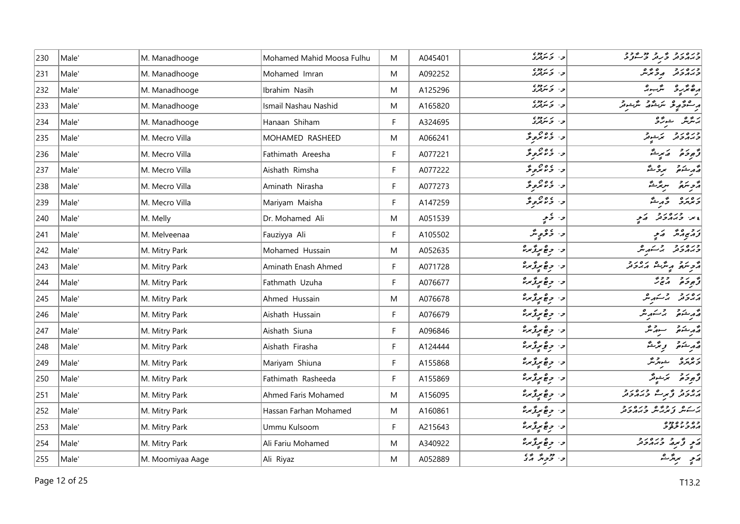| 230 | Male' | M. Manadhooge    | Mohamed Mahid Moosa Fulhu | M         | A045401 | د . که سروری<br>د . که سرفری | وره رو په د سورو<br><i>وبرم</i> ونټر ورنتر وستون |
|-----|-------|------------------|---------------------------|-----------|---------|------------------------------|--------------------------------------------------|
| 231 | Male' | M. Manadhooge    | Mohamed Imran             | M         | A092252 | ر روده<br>و۰ و سرترو         | ورەرد مەدىر                                      |
| 232 | Male' | M. Manadhooge    | Ibrahim Nasih             | M         | A125296 | ر روده<br>و۰ و سربرو         | أرە ئۆر ئەسىر ئە                                 |
| 233 | Male' | M. Manadhooge    | Ismail Nashau Nashid      | M         | A165820 | ر روده<br>و کرمونوی          | ر مەڭ بوگە س <i>رىشى" سرىغون</i> ر               |
| 234 | Male' | M. Manadhooge    | Hanaan Shiham             | F         | A324695 | ر روده<br>و کرمونوی          | بَرْ مَرَّرْ وَ الْمَرْكَزُ                      |
| 235 | Male' | M. Mecro Villa   | MOHAMED RASHEED           | M         | A066241 | ە بەرە ئەر                   | ورەرو بەيدۇ.                                     |
| 236 | Male' | M. Mecro Villa   | Fathimath Areesha         | F         | A077221 | - جوه چه چوځه                | وتودة المبيث                                     |
| 237 | Male' | M. Mecro Villa   | Aishath Rimsha            | F         | A077222 | ى ئەممى ئە                   | وكرمشكم بروحة                                    |
| 238 | Male' | M. Mecro Villa   | Aminath Nirasha           | F         | A077273 | د . د ۷۶ کرونژ               | أزويتم سترشأ                                     |
| 239 | Male' | M. Mecro Villa   | Mariyam Maisha            | F.        | A147259 | ى ئەم مىمبوقە                | رەرە ئەر                                         |
| 240 | Male' | M. Melly         | Dr. Mohamed Ali           | M         | A051539 | او کو                        | ، دره در کرد                                     |
| 241 | Male' | M. Melveenaa     | Fauziyya Ali              | F         | A105502 | و٠ ۇۋەپەگر                   | ز می مه که می                                    |
| 242 | Male' | M. Mitry Park    | Mohamed Hussain           | M         | A052635 | وا وع برؤبره                 | ورەرو ورىدىگ                                     |
| 243 | Male' | M. Mitry Park    | Aminath Enash Ahmed       | F         | A071728 | د· دِعْبِرتَمْهُ             | أأدينهم ويترك أرورد                              |
| 244 | Male' | M. Mitry Park    | Fathmath Uzuha            | F         | A076677 | د· دِڠېرِتَرْ برر            | $rac{1}{2}$ $rac{2}{5}$ $rac{2}{5}$              |
| 245 | Male' | M. Mitry Park    | Ahmed Hussain             | ${\sf M}$ | A076678 | د· دِڠېرِزٌمر،               | رەرو ورىدىگ                                      |
| 246 | Male' | M. Mitry Park    | Aishath Hussain           | F         | A076679 | د· دِءِ برِ زُّبر،           | مەر شىم بەسكىرىش                                 |
| 247 | Male' | M. Mitry Park    | Aishath Siuna             | F         | A096846 | د· دِءِ برِ زُّبر،           | ۇرمىشى سىرتىر                                    |
| 248 | Male' | M. Mitry Park    | Aishath Firasha           | F         | A124444 | د· دِڠېرِرَّسْر              | لأرخني وبرحة                                     |
| 249 | Male' | M. Mitry Park    | Mariyam Shiuna            | F         | A155868 | د· دِڠېرِرَّىر               | أومره شورهم                                      |
| 250 | Male' | M. Mitry Park    | Fathimath Rasheeda        | F         | A155869 | د· دِڠېرِرَّبْر،             | أوٌمودَهُ بَرَجهُ                                |
| 251 | Male' | M. Mitry Park    | Ahmed Faris Mohamed       | M         | A156095 | د· دِڠؠرِڙَ براءُ            | رەرد ۋىرے درەرد                                  |
| 252 | Male' | M. Mitry Park    | Hassan Farhan Mohamed     | M         | A160861 | و· وַפْתٍ زَّمْرٌ،           | ر ده د ده و دره د د<br>پرستنگ و بورش و برماونتر  |
| 253 | Male' | M. Mitry Park    | Ummu Kulsoom              | F         | A215643 | د· دڠېرتزېر                  |                                                  |
| 254 | Male' | M. Mitry Park    | Ali Fariu Mohamed         | M         | A340922 | و. <sub>و</sub> قع پرتمبر    | أياي ومعرها وبرورو                               |
| 255 | Male' | M. Moomiyaa Aage | Ali Riyaz                 | M         | A052889 | כי צקדי, "ג'                 | أريمو بروزعه                                     |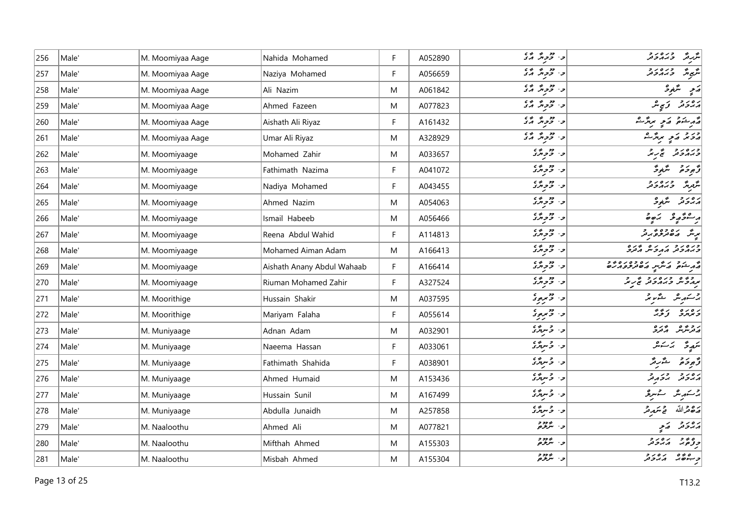| 256 | Male' | M. Moomiyaa Aage | Nahida Mohamed             | F         | A052890 | כי צבית הצ                                     | و ره ر د<br><i>د ب</i> رگر تر<br>بتزبر قتر        |
|-----|-------|------------------|----------------------------|-----------|---------|------------------------------------------------|---------------------------------------------------|
| 257 | Male' | M. Moomiyaa Aage | Naziya Mohamed             | F.        | A056659 | د. دومهٔ پی                                    | متنبع ثر<br>و ر ه ر و<br>تر پر ژ تر               |
| 258 | Male' | M. Moomiyaa Aage | Ali Nazim                  | M         | A061842 | בי "כבו <i>ת ה</i> 'ז<br>בי "כבו <i>ת ה</i> 'ז | ړې شموه                                           |
| 259 | Male' | M. Moomiyaa Aage | Ahmed Fazeen               | M         | A077823 | כי צבות הצ                                     | رەرد توپى                                         |
| 260 | Male' | M. Moomiyaa Aage | Aishath Ali Riyaz          | F         | A161432 | כי צבות הש                                     | وأرشكني وكمع بمروكب                               |
| 261 | Male' | M. Moomiyaa Aage | Umar Ali Riyaz             | M         | A328929 | כי צקה, "ז'                                    | ەدىر ەپر بەرگ                                     |
| 262 | Male' | M. Moomiyaage    | Mohamed Zahir              | M         | A033657 | כי כציבות בי                                   | ورەر دىگرىز                                       |
| 263 | Male' | M. Moomiyaage    | Fathimath Nazima           | F         | A041072 | כי כציבות בי                                   | توجوختم متبوخ                                     |
| 264 | Male' | M. Moomiyaage    | Nadiya Mohamed             | F         | A043455 | و . وحویزی                                     | متزبريز<br>ورەر د<br><i>دى</i> رمەتر              |
| 265 | Male' | M. Moomiyaage    | Ahmed Nazim                | M         | A054063 | و . و .<br>و . و تروری                         | بر ه بر د<br>م <i>. بر</i> <del>د</del> ر<br>سگەد |
| 266 | Male' | M. Moomiyaage    | Ismail Habeeb              | M         | A056466 | و . و و پرې<br>د . و و پرې                     |                                                   |
| 267 | Male' | M. Moomiyaage    | Reena Abdul Wahid          | F         | A114813 | כי כציבות בי                                   | ىرىگە كەھەر دەرىر                                 |
| 268 | Male' | M. Moomiyaage    | Mohamed Aiman Adam         | M         | A166413 | و . و و پرې<br>د . و و پرې                     | כנים גם בתביל הבק                                 |
| 269 | Male' | M. Moomiyaage    | Aishath Anany Abdul Wahaab | F         | A166414 | و . و . و . و .<br>د . و تر پر                 | ه مشور کمیکن مصر ده ده ده و                       |
| 270 | Male' | M. Moomiyaage    | Riuman Mohamed Zahir       | F         | A327524 | כי כבירות.<br>כי כבירות                        | בשם במסמך של ב                                    |
| 271 | Male' | M. Moorithige    | Hussain Shakir             | ${\sf M}$ | A037595 | ه . هم چونه<br>د . هم چونه                     | رحم مسکور کے مقام میں<br>مقام                     |
| 272 | Male' | M. Moorithige    | Mariyam Falaha             | F.        | A055614 | و . وجمعرو<br>و . و مجمو                       | ر ه ر ه<br><del>ر</del> بربرگ<br>ۇ ئۇرگ           |
| 273 | Male' | M. Muniyaage     | Adnan Adam                 | M         | A032901 | د. ژىروژ                                       | پور ہ<br>مرکز<br>ىر تەشرىئە<br>مەنترىنىز          |
| 274 | Male' | M. Muniyaage     | Naeema Hassan              | F         | A033061 | و. ژُسرگرُدُ                                   | سَمِيرةَ<br>برسەمىر                               |
| 275 | Male' | M. Muniyaage     | Fathimath Shahida          | F.        | A038901 | و. ژىپرېژ                                      | ۇپ <sub>و</sub> دۇ ش <sup>ې</sup> رى <i>د</i>     |
| 276 | Male' | M. Muniyaage     | Ahmed Humaid               | M         | A153436 | د. ژسرگری                                      | גם גב בגב                                         |
| 277 | Male' | M. Muniyaage     | Hussain Sunil              | M         | A167499 | و . ئۇ ئىرىگرى                                 | چرىكىرىش سىسرى<br>مەسكىرىش                        |
| 278 | Male' | M. Muniyaage     | Abdulla Junaidh            | M         | A257858 | و . و سرگری                                    | وحدالله<br>قے سکہر فٹر                            |
| 279 | Male' | M. Naaloothu     | Ahmed Ali                  | M         | A077821 | و . شروح<br>و . شرعره                          | پروژ په په                                        |
| 280 | Male' | M. Naaloothu     | Mifthah Ahmed              | M         | A155303 | و . شروح<br>و . شروح                           | پرور و<br>ل و ژه بر<br>الرقم بر                   |
| 281 | Male' | M. Naaloothu     | Misbah Ahmed               | M         | A155304 | و . شروح<br>و . شر <i>و</i> ح                  | وسوه ده دو<br>وسوحد مدونر                         |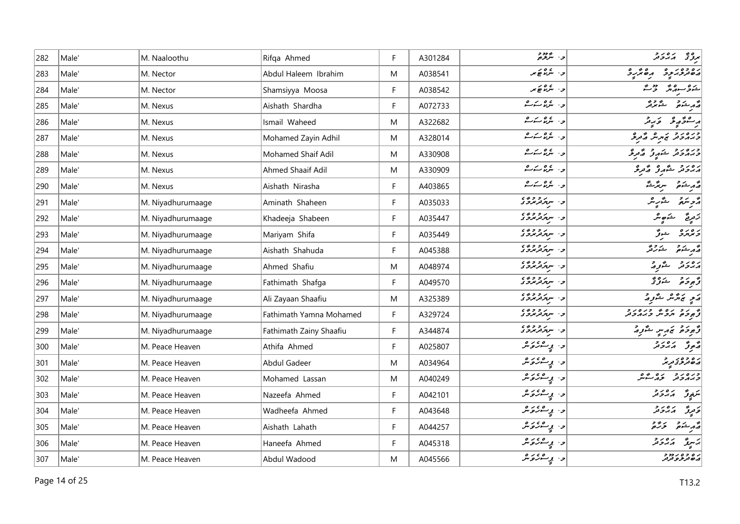| 282 | Male' | M. Naaloothu      | Rifga Ahmed             | F  | A301284 | و. شروح                                | بروقة - ماير و                             |
|-----|-------|-------------------|-------------------------|----|---------|----------------------------------------|--------------------------------------------|
| 283 | Male' | M. Nector         | Abdul Haleem Ibrahim    | M  | A038541 | وسي وريد                               | גפנגיק גם הי                               |
| 284 | Male' | M. Nector         | Shamsiyya Moosa         | F  | A038542 | و، سرمانھے پر                          | شووسهه وحمش                                |
| 285 | Male' | M. Nexus          | Aishath Shardha         | F  | A072733 | جە بىر ئەكەب ھە                        | و المريد و المحمد المريد الم               |
| 286 | Male' | M. Nexus          | Ismail Waheed           | M  | A322682 | ىر، ئىزىۋىسەكەت                        | وڪوڻو وَرِثر                               |
| 287 | Male' | M. Nexus          | Mohamed Zayin Adhil     | M  | A328014 | ج ، مگرنڈ کے ک                         | כממכת התיית התיכ                           |
| 288 | Male' | M. Nexus          | Mohamed Shaif Adil      | M  | A330908 | ج. مگرنڈ کے ک                          | ورەرو خىرۇ كەرگ                            |
| 289 | Male' | M. Nexus          | Ahmed Shaaif Adil       | M  | A330909 | ج ، مگرنڈ کے ک                         | <i>ג د د ته شهر و ه</i> ُمرِ د             |
| 290 | Male' | M. Nexus          | Aishath Nirasha         | F  | A403865 | چە، ئىرت <sub>ى</sub> مەكەب            | وكركو الروكة                               |
| 291 | Male' | M. Niyadhurumaaqe | Aminath Shaheen         | F  | A035033 | و. سرپرورور                            | أزويتم فستوبش                              |
| 292 | Male' | M. Niyadhurumaage | Khadeeja Shabeen        | F. | A035447 | و . سرپروژبروی<br>و . سرپرتربروی       | كترقح المشوهر                              |
| 293 | Male' | M. Niyadhurumaaqe | Mariyam Shifa           | F  | A035449 | و. سرگر گروه کالم                      | ر ه بر ه<br><del>ر</del> بر بر ژ<br>سنسوسح |
| 294 | Male' | M. Niyadhurumaaqe | Aishath Shahuda         | F  | A045388 | و. سرپروروی                            | وكرم شكرة المشاركة والمحر                  |
| 295 | Male' | M. Niyadhurumaage | Ahmed Shafiu            | M  | A048974 | د. سرپرتر پروی<br>سرپرتر پروی          | دەر دەر ھەرچ                               |
| 296 | Male' | M. Niyadhurumaaqe | Fathimath Shafqa        | F  | A049570 | و . سرگرگردی<br>و . سرگرگردی           | توجوحه شوور                                |
| 297 | Male' | M. Niyadhurumaaqe | Ali Zayaan Shaafiu      | M  | A325389 | و . سرپروژبرو .<br>و . سرپرتربرو .     | ړنو ټگرنگر څوړ                             |
| 298 | Male' | M. Niyadhurumaage | Fathimath Yamna Mohamed | F  | A329724 | و . سرپرو و ده و<br>و . سرپرترو و      | و د د ده و ده د د                          |
| 299 | Male' | M. Niyadhurumaage | Fathimath Zainy Shaafiu | F  | A344874 | و . سرپروژبروی<br>و . سرپرتربروی       | قُرُوحِهِ نَمْ مِسٍ مُتَّوَرِ              |
| 300 | Male' | M. Peace Heaven   | Athifa Ahmed            | F. | A025807 | <sub>و: يو</sub> سىئ ئەر               | چې ته پره د د                              |
| 301 | Male' | M. Peace Heaven   | <b>Abdul Gadeer</b>     | M  | A034964 | و. پرٍڪري عر                           | ره <del>د و</del> ړ<br>د ه مرڅو د مړين     |
| 302 | Male' | M. Peace Heaven   | Mohamed Lassan          | M  | A040249 | <sub>و</sub> . پ <sub>و</sub> ست کریمر | ورەرو رەپ                                  |
| 303 | Male' | M. Peace Heaven   | Nazeefa Ahmed           | F  | A042101 | ر <sub>: يو</sub> س <i>ترکونگر</i>     | أستنج وتشاتر والمرادر                      |
| 304 | Male' | M. Peace Heaven   | Wadheefa Ahmed          | F  | A043648 | ر. ب <sub>و</sub> سترکر تر             | وَمَدِوَّ دَيْرَ دَو                       |
| 305 | Male' | M. Peace Heaven   | Aishath Lahath          | F  | A044257 | و. پرسه برخ مګر                        | وكرماشكا والمحارم                          |
| 306 | Male' | M. Peace Heaven   | Haneefa Ahmed           | F  | A045318 | <sub>چ</sub> . پ <sub>ر</sub> ے پر عام | يەستى ئەسىمىتى                             |
| 307 | Male' | M. Peace Heaven   | Abdul Wadood            | M  | A045566 | <sub>و</sub> . پ <sub>ر</sub> ے ئے ئە  | ر ۵ و ۵ ر دو و<br>پرې تر پوړو تر تر        |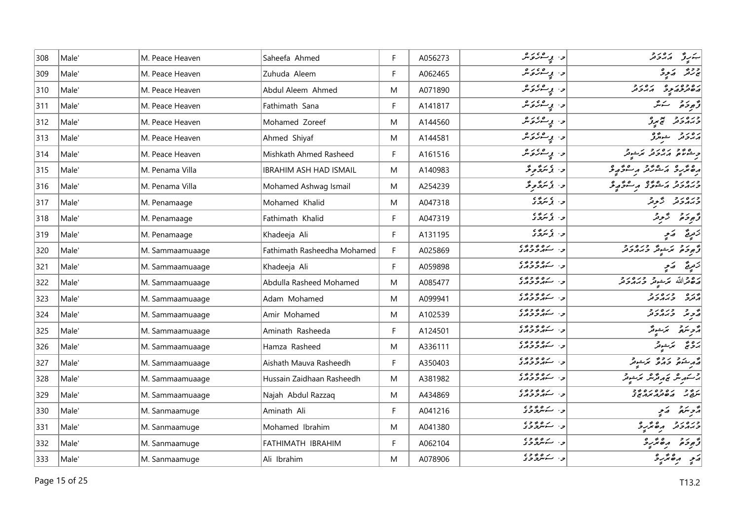| 308 | Male' | M. Peace Heaven | Saheefa Ahmed                 | F  | A056273 | <sub>و: يو</sub> سىئ كەنگە                                                      | يە ئەرق<br>برور و                                |
|-----|-------|-----------------|-------------------------------|----|---------|---------------------------------------------------------------------------------|--------------------------------------------------|
| 309 | Male' | M. Peace Heaven | Zuhuda Aleem                  | F. | A062465 | <sub>و</sub> . <sub>بو</sub> ر عرب عرب ش                                        | ج ژنگر   مَرْجُو دُ                              |
| 310 | Male' | M. Peace Heaven | Abdul Aleem Ahmed             | M  | A071890 | <sub>و</sub> . پ <sub>ر</sub> ے ئے ئە                                           | بر 2 ر ح<br>م <i>ر</i> بر <del>و</del> تر        |
| 311 | Male' | M. Peace Heaven | Fathimath Sana                | F. | A141817 | اه وپه ده کاره                                                                  | قَ مِ حَقٌّ مِ سَنَدٌ                            |
| 312 | Male' | M. Peace Heaven | Mohamed Zoreef                | M  | A144560 | ار. پ <sub>و</sub> ر عرکار                                                      | ورەر دىدە                                        |
| 313 | Male' | M. Peace Heaven | Ahmed Shiyaf                  | M  | A144581 | و٠ وٍرورو شر                                                                    | ره ر و<br>پرېرو تر شو <del>برن</del> و           |
| 314 | Male' | M. Peace Heaven | Mishkath Ahmed Rasheed        | F. | A161516 | <sub>و</sub> . پ <sub>ر</sub> ے ئے ئد                                           | و شرعتی مهرونه مرشونر                            |
| 315 | Male' | M. Penama Villa | <b>IBRAHIM ASH HAD ISMAIL</b> | M  | A140983 | و· بۇ ئىرگە ئوق                                                                 | رەپرى كەشرىق بەسىۋېرى                            |
| 316 | Male' | M. Penama Villa | Mohamed Ashwag Ismail         | M  | A254239 | ى ئەكەنگە بۇ ئە                                                                 | ورەر د رەپە رەپەر                                |
| 317 | Male' | M. Penamaage    | Mohamed Khalid                | M  | A047318 | ە . بۇ ئىرى <i>ە</i>                                                            | ورەرو ژونر                                       |
| 318 | Male' | M. Penamaage    | Fathimath Khalid              | F. | A047319 | ه ۱۰ وره و<br>د ۱۰ وگلوری                                                       | ۇ بوخ <sub>ى</sub><br>رَّ توترُ                  |
| 319 | Male' | M. Penamaage    | Khadeeja Ali                  | F  | A131195 | ە . بۇ ئىرى <i>ە</i>                                                            | رَمَرِيَّ ۖ مَ ۖ وَ                              |
| 320 | Male' | M. Sammaamuaage | Fathimath Rasheedha Mohamed   | F  | A025869 | $\begin{array}{cc} 0 & 0 & 0 & 0 \\ 0 & 0 & 0 & 0 \\ 0 & 0 & 0 & 0 \end{array}$ | و و د د کر د د د د د د                           |
| 321 | Male' | M. Sammaamuaage | Khadeeja Ali                  | F  | A059898 | $\frac{20000}{2000000}$                                                         | ترمرقے کے مح                                     |
| 322 | Male' | M. Sammaamuaage | Abdulla Rasheed Mohamed       | M  | A085477 | $\begin{array}{cc} 0 & 0 & 0 & 0 \\ 0 & 0 & 0 & 0 \\ 0 & 0 & 0 & 0 \end{array}$ | ره و الله ترجع و ده د و<br>مصرالله ترجعر وبرمرمز |
| 323 | Male' | M. Sammaamuaage | Adam Mohamed                  | M  | A099941 | $\frac{20000}{2000000}$                                                         | برده وره دو<br>پرترو وبرپروتر                    |
| 324 | Male' | M. Sammaamuaage | Amir Mohamed                  | M  | A102539 |                                                                                 |                                                  |
| 325 | Male' | M. Sammaamuaage | Aminath Rasheeda              | F. | A124501 | $\frac{20000}{20000}$                                                           | ۇرچىدە ئەجە                                      |
| 326 | Male' | M. Sammaamuaage | Hamza Rasheed                 | M  | A336111 | $\frac{c\otimes\mathbb{R}}{c\otimes\mathbb{R}}$ . $\mathbb{R}$                  | رەم كەشەھ                                        |
| 327 | Male' | M. Sammaamuaage | Aishath Mauva Rasheedh        | F  | A350403 | $\begin{array}{cc} 0 & 0 & 0 & 0 \\ 0 & 0 & 0 & 0 \\ 0 & 0 & 0 & 0 \end{array}$ | د.<br>د کرد شکوه از دره ایر شوتر                 |
| 328 | Male' | M. Sammaamuaage | Hussain Zaidhaan Rasheedh     | M  | A381982 | د. سته ۶۶۶ و پر                                                                 | ج سەر شەر ئەر ئۇنىڭ ئىزىدىنى                     |
| 329 | Male' | M. Sammaamuaage | Najah Abdul Razzaq            | M  | A434869 | $\begin{array}{cc} 0 & 0 & 0 & 0 \\ 0 & 0 & 0 & 0 \\ 0 & 0 & 0 & 0 \end{array}$ | קמת קסתם קסמת<br>ייתבה השינה <i>ה</i> אבצ        |
| 330 | Male' | M. Sanmaamuge   | Aminath Ali                   | F. | A041216 | و، سەھرىرى                                                                      | ړې سرچ په کړ                                     |
| 331 | Male' | M. Sanmaamuge   | Mohamed Ibrahim               | M  | A041380 | و. شەھرىرى<br>ئ                                                                 | ورەرو مەھرىرو                                    |
| 332 | Male' | M. Sanmaamuge   | FATHIMATH IBRAHIM             | F  | A062104 | و. شەھرى دە                                                                     | ەھ تررۈ<br>و څو څه د                             |
| 333 | Male' | M. Sanmaamuge   | Ali Ibrahim                   | M  | A078906 | و . ستورو و و و و ع                                                             | ړې ره ټرېږ                                       |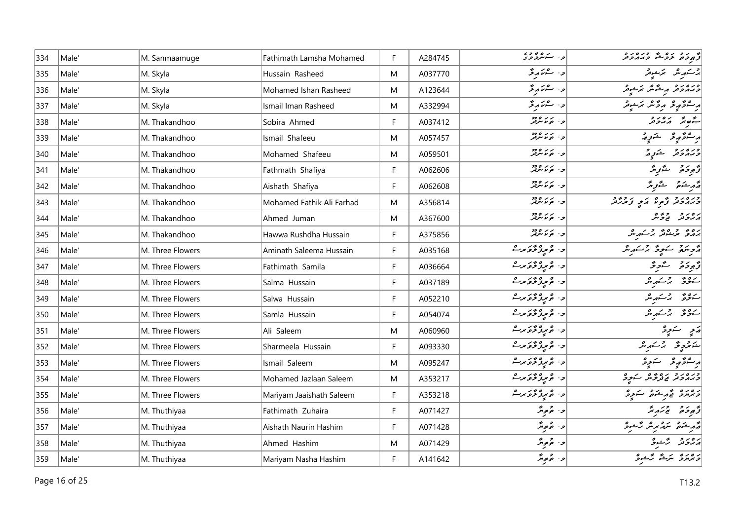| 334 | Male' | M. Sanmaamuge    | Fathimath Lamsha Mohamed  | F         | A284745 | و. شەھرەرى                           | تحجج وتحريق وره رو                                  |
|-----|-------|------------------|---------------------------|-----------|---------|--------------------------------------|-----------------------------------------------------|
| 335 | Male' | M. Skyla         | Hussain Rasheed           | M         | A037770 | د . سىمەمۇ                           | الرسكور مثل مركب بير بير<br>مراجع السياسي           |
| 336 | Male' | M. Skyla         | Mohamed Ishan Rasheed     | M         | A123644 | <br> د سنگموړنگه                     | ورەرو برېش پرېشونر<br><i>وبرېرونر بر</i> ېش پرېشونر |
| 337 | Male' | M. Skyla         | Ismail Iman Rasheed       | M         | A332994 | ە سەئەرگە                            | ر موځ په د څکر لرمونه                               |
| 338 | Male' | M. Thakandhoo    | Sobira Ahmed              | F         | A037412 | ر ر ر ه دو<br>و <i>. ه ما</i> سربر   |                                                     |
| 339 | Male' | M. Thakandhoo    | Ismail Shafeeu            | M         | A057457 | ر ر ر دود.<br>و ۱ مون سرفر           | أبر سنتو الله في المسكندية المحمد المستخرجة         |
| 340 | Male' | M. Thakandhoo    | Mohamed Shafeeu           | M         | A059501 | ر ر ر د دو.<br>و ۰ مونم سرفر         | ورەرو شۆرۈ                                          |
| 341 | Male' | M. Thakandhoo    | Fathmath Shafiya          | F         | A062606 | ر ر ر د دو.<br>و ۰ مونم سرفر         | أراوحو المحفران                                     |
| 342 | Male' | M. Thakandhoo    | Aishath Shafiya           | F         | A062608 | ر ر ر ه دو<br>و ۰ ج <i>و ما</i> سرفر | أمار مسكوم المشمور                                  |
| 343 | Male' | M. Thakandhoo    | Mohamed Fathik Ali Farhad | M         | A356814 | ر ر ر دود.<br>و ۱ مون سرفر           | وره رو و وه کرد و د دود                             |
| 344 | Male' | M. Thakandhoo    | Ahmed Juman               | M         | A367600 | ر ر ر د دو.<br>و ۰ مونم سرفر         | رەر دەر                                             |
| 345 | Male' | M. Thakandhoo    | Hawwa Rushdha Hussain     | F         | A375856 | ر ر ر د دو.<br>و ۰ مونم سرفر         | رەپ چە ئەسىر برىسكى                                 |
| 346 | Male' | M. Three Flowers | Aminath Saleema Hussain   | F         | A035168 | و٠ ق <sub>ۇمۇ</sub> رۇتۇتۈپرىش       | أأوبتم كالموقا بالتكريش                             |
| 347 | Male' | M. Three Flowers | Fathimath Samila          | F         | A036664 | و٠ ه پروڅو پرت                       | أزُّبُورَهُ سُدْرِدَّ                               |
| 348 | Male' | M. Three Flowers | Salma Hussain             | F         | A037189 | و٠ ق <sub>و</sub> موثوڅو مرگ         | سود بريده                                           |
| 349 | Male' | M. Three Flowers | Salwa Hussain             | F         | A052210 | و٠ <sub>م</sub> وبورو گرو برگ        | سەۋەر برسىمبەش                                      |
| 350 | Male' | M. Three Flowers | Samla Hussain             | F         | A054074 | و٠ قومٍ و څو څو مرث                  | سەۋقە ئەسەمبەر                                      |
| 351 | Male' | M. Three Flowers | Ali Saleem                | M         | A060960 | و· قويرو بحر تر مر ب                 | ړنو خوږ                                             |
| 352 | Male' | M. Three Flowers | Sharmeela Hussain         | F         | A093330 | و· قوم دو ترکو مرث                   | ڪنگرچ ٿي گرڪبريش                                    |
| 353 | Male' | M. Three Flowers | Ismail Saleem             | M         | A095247 | و٠ قومٍ و څو تو تر ک                 | ر شۇر ئەرۋ                                          |
| 354 | Male' | M. Three Flowers | Mohamed Jazlaan Saleem    | ${\sf M}$ | A353217 | و٠ ه پروڅو پرت                       |                                                     |
| 355 | Male' | M. Three Flowers | Mariyam Jaaishath Saleem  | F         | A353218 | و٠ قويږو څوکو برگ                    | وبراره الأراشية المنورة                             |
| 356 | Male' | M. Thuthiyaa     | Fathimath Zuhaira         | F         | A071427 | ح المحمومر<br>م                      | أزّوجو بي مركز                                      |
| 357 | Male' | M. Thuthiyaa     | Aishath Naurin Hashim     | F         | A071428 | د . م <sub>وم</sub> ر                | وأرشكتم متركم يرتكز كرشوف                           |
| 358 | Male' | M. Thuthiyaa     | Ahmed Hashim              | M         | A071429 | د قموش                               | رەرد ئەشرى<br>مەرىر ئەشرى                           |
| 359 | Male' | M. Thuthiyaa     | Mariyam Nasha Hashim      | F         | A141642 | د قموش                               | رەرە برېگە گىشو                                     |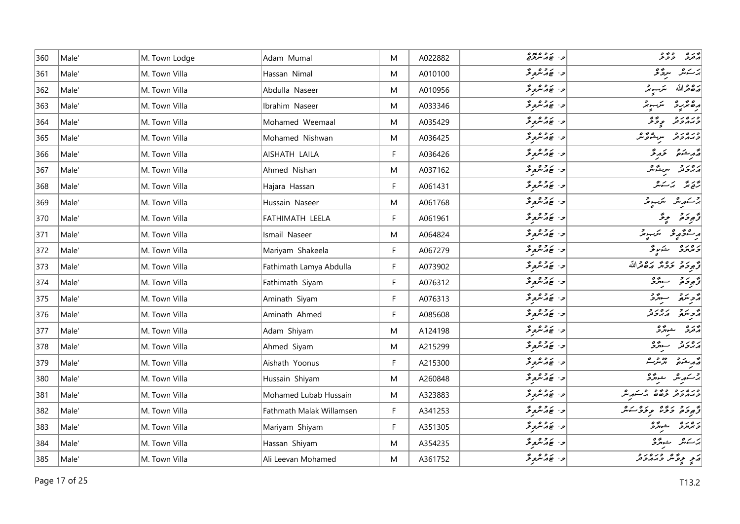| 360 | Male' | M. Town Lodge | Adam Mumal               | M           | A022882 | ر و و پره<br>د ۱ کار سرچ                | ووو<br>پە رە<br>مەنىرى                 |
|-----|-------|---------------|--------------------------|-------------|---------|-----------------------------------------|----------------------------------------|
| 361 | Male' | M. Town Villa | Hassan Nimal             | M           | A010100 | د غۇر شوڭر                              | برسەمىر<br>سردٌ ثر                     |
| 362 | Male' | M. Town Villa | Abdulla Naseer           | M           | A010956 | - عَهْمَعْهِ قُ                         | رەقراللە<br>ىئرسېدىتى                  |
| 363 | Male' | M. Town Villa | Ibrahim Naseer           | M           | A033346 | - عَهْرَ مَعْرِ مَحْرِ                  | ەرھەترىر <sup>ى</sup><br>ىئەسبەتر      |
| 364 | Male' | M. Town Villa | Mohamed Weemaal          | M           | A035429 | - عدم معرفة                             | ورەرو پەۋ                              |
| 365 | Male' | M. Town Villa | Mohamed Nishwan          | M           | A036425 | ر <sub>مو</sub> ر مر <sub>و</sub> ڈ     | و ر ه ر د<br>تر پر تر تر<br>سرىشۇ ئەگر |
| 366 | Male' | M. Town Villa | AISHATH LAILA            | F           | A036426 | د غەزمىرىمۇ                             | أشركت فركر                             |
| 367 | Male' | M. Town Villa | Ahmed Nishan             | M           | A037162 | - عدم معر                               | رەرە س <sup>ى</sup> شىر<br>مەرىر س     |
| 368 | Male' | M. Town Villa | Hajara Hassan            | $\mathsf F$ | A061431 | - عەم ھوڭ                               | رُّمَ پُرَ سَرَ سُر                    |
| 369 | Male' | M. Town Villa | Hussain Naseer           | M           | A061768 | د غږم عرو ځه                            | برسكريش الكرسوبر                       |
| 370 | Male' | M. Town Villa | FATHIMATH LEELA          | F           | A061961 | - عەم شوېڅ                              | ۇۋەۋە بېۋ                              |
| 371 | Male' | M. Town Villa | Ismail Naseer            | M           | A064824 | د غەزمىنىدۇ                             | وسنتورو الكنبولا                       |
| 372 | Male' | M. Town Villa | Mariyam Shakeela         | F           | A067279 | د عد چمپوځ                              | رەرە خىرىگى                            |
| 373 | Male' | M. Town Villa | Fathimath Lamya Abdulla  | $\mathsf F$ | A073902 | د غەزمىرىمۇ                             | وَجِعَةٍ وَحَدَّثَ وَحَدَّاللَّهُ      |
| 374 | Male' | M. Town Villa | Fathimath Siyam          | $\mathsf F$ | A076312 | د· ع <sub>ا</sub> ر مهمونځ              | و ده سوره<br>ژبوده سوره                |
| 375 | Male' | M. Town Villa | Aminath Siyam            | F           | A076313 | - عدم معرفة                             | أرمز<br>سودنج                          |
| 376 | Male' | M. Town Villa | Aminath Ahmed            | F           | A085608 | د غەزمىرىمۇ                             | برەرد<br>أرمحر سنرو                    |
| 377 | Male' | M. Town Villa | Adam Shiyam              | M           | A124198 | د <sub>ع</sub> رم معرف                  | په ره<br>د ترو<br>شەدگرى               |
| 378 | Male' | M. Town Villa | Ahmed Siyam              | M           | A215299 | د عد شعر د                              | גם ג' ב' קייברי<br>ג' ברב ה' קייברי    |
| 379 | Male' | M. Town Villa | Aishath Yoonus           | F           | A215300 | د عد شهورځ                              | و مشور دوره<br>مهر شور مرس             |
| 380 | Male' | M. Town Villa | Hussain Shiyam           | M           | A260848 | د غەزمىرىدۇ                             | جر سکه شور شورگرد<br>مر                |
| 381 | Male' | M. Town Villa | Mohamed Lubab Hussain    | M           | A323883 | د غږمشوڅه                               |                                        |
| 382 | Male' | M. Town Villa | Fathmath Malak Willamsen | $\mathsf F$ | A341253 | <br> - ع <sub>ام</sub> معروفه           | وتجوخهم ولحزم ولحوالمسكر               |
| 383 | Male' | M. Town Villa | Mariyam Shiyam           | $\mathsf F$ | A351305 | د غەزمىرىمۇ                             | تره بره شودگر<br>تربر در مشودگرد       |
| 384 | Male' | M. Town Villa | Hassan Shiyam            | M           | A354235 | —<br>  <i>د ق</i> ارىمبرۇ               | بركسكس خوردو                           |
| 385 | Male' | M. Town Villa | Ali Leevan Mohamed       | M           | A361752 | د <sub>،</sub> ع <sub>ا</sub> ر مهمونځه | أرشح محمدة ورورد                       |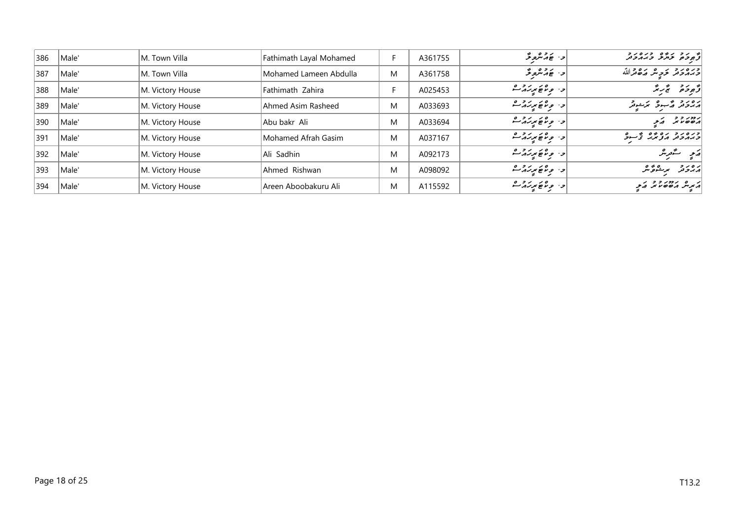| 386 | Male' | l M. Town Villa  | Fathimath Layal Mohamed |   | A361755 | و· عَهْرْسْهِ تَرْ                              | و د د ده دره در د<br>گرجونو ترمر د درمان   |
|-----|-------|------------------|-------------------------|---|---------|-------------------------------------------------|--------------------------------------------|
| 387 | Male' | M. Town Villa    | Mohamed Lameen Abdulla  | M | A361758 | ار به تور شهر تر                                | وره رو بروش وهزالله                        |
| 388 | Male' | M. Victory House | Fathimath Zahira        |   | A025453 | د ، وِلاھي پر پار ق                             | توجوحوا المحرار                            |
| 389 | Male' | M. Victory House | Ahmed Asim Rasheed      | M | A033693 | د· وى <sub>م</sub> قى <i>برگە</i> ر ش           | پروتر کمیسو نمیشوتر                        |
| 390 | Male' | M. Victory House | Abu bakr Ali            | M | A033694 | د ، و <i>ماغېر ز</i> ړ گ                        | 50000                                      |
| 391 | Male' | M. Victory House | Mohamed Afrah Gasim     | M | A037167 | <sub>ج۰</sub> وراءٍ <sub>مح</sub> ررة مشر       | 2000 0000 0000<br>  2000 00000 00000 00000 |
| 392 | Male' | M. Victory House | Ali Sadhin              | M | A092173 | د ، وناھ برگە <sup>و</sup> ھ                    | رښمو سنگورینګر                             |
| 393 | Male' | M. Victory House | Ahmed Rishwan           | M | A098092 | 0.52.20<br>و· وناھ <i>پر راد</i> نس             | رەرد پرىشورىش                              |
| 394 | Male' | M. Victory House | Areen Aboobakuru Ali    | M | A115592 | ا <sub>ح</sub> ، وي <sub>م</sub> كا يوركه كرد ف | ה את המיני כל ה                            |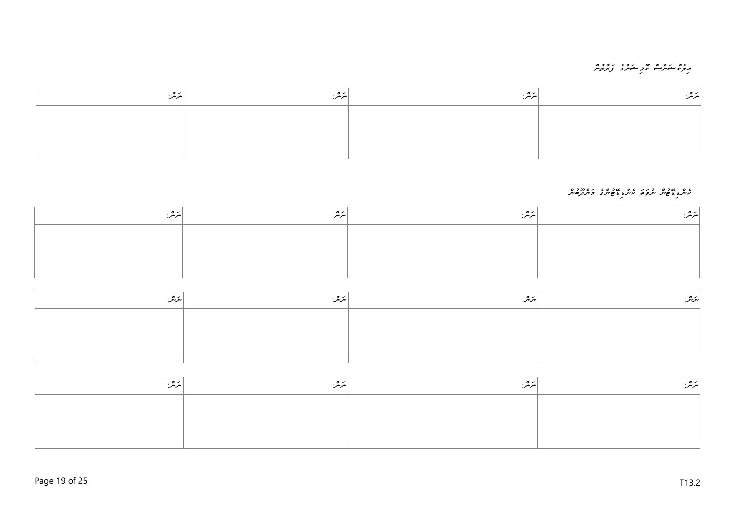## *w7qAn8m? sCw7mRo>u; wEw7mRw;sBo<*

| ' مرمر | 'يئرىثر: |
|--------|----------|
|        |          |
|        |          |
|        |          |

## *w7q9r@w7m> sCw7qHtFoFw7s; mAm=q7 w7qHtFoFw7s;*

| يئرمىش: | $^{\circ}$<br>. سر سر<br>$\cdot$ | $\circ$ $\sim$<br>-- | يئرمثر |
|---------|----------------------------------|----------------------|--------|
|         |                                  |                      |        |
|         |                                  |                      |        |
|         |                                  |                      |        |

| $\frac{2}{n}$ | $\overline{\phantom{a}}$ | اير هنه. | $\mathcal{O} \times$<br>سرسر |
|---------------|--------------------------|----------|------------------------------|
|               |                          |          |                              |
|               |                          |          |                              |
|               |                          |          |                              |

| ' ئىرتىر: | سر سر |  |
|-----------|-------|--|
|           |       |  |
|           |       |  |
|           |       |  |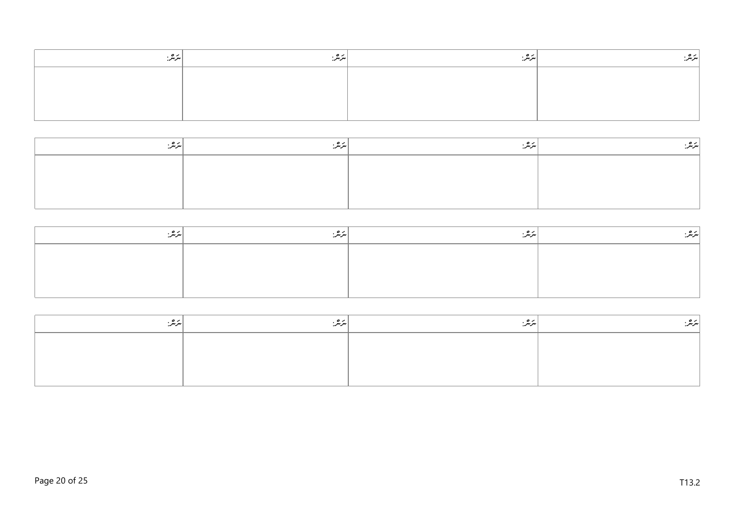| يره. | ο. | ا ير ه |  |
|------|----|--------|--|
|      |    |        |  |
|      |    |        |  |
|      |    |        |  |

| <sup>.</sup> سرسر. |  |
|--------------------|--|
|                    |  |
|                    |  |
|                    |  |

| ىئرىتر. | $\sim$ | ا بر هه. | لىرىش |
|---------|--------|----------|-------|
|         |        |          |       |
|         |        |          |       |
|         |        |          |       |

| 。<br>مرس. | $\overline{\phantom{a}}$<br>مر سر | يتريثر |
|-----------|-----------------------------------|--------|
|           |                                   |        |
|           |                                   |        |
|           |                                   |        |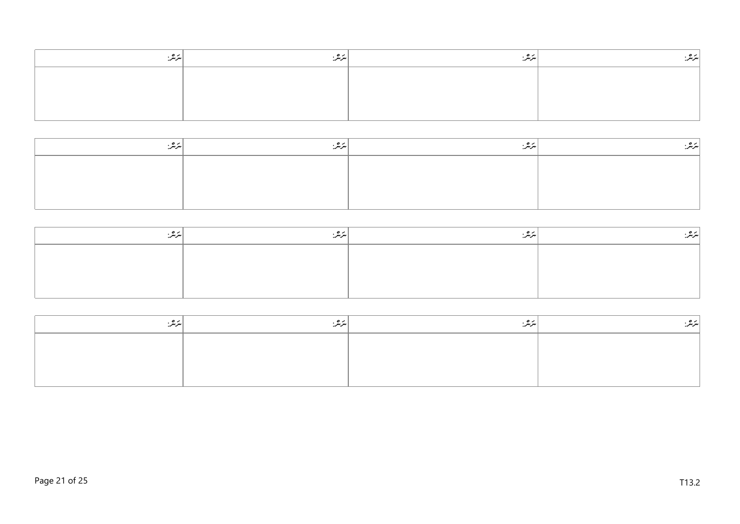| ير هو . | $\overline{\phantom{a}}$ | يرمر | اير هنه. |
|---------|--------------------------|------|----------|
|         |                          |      |          |
|         |                          |      |          |
|         |                          |      |          |

| ئىرتىر: | $\sim$<br>ا سرسر . | يئرمثر | o . |
|---------|--------------------|--------|-----|
|         |                    |        |     |
|         |                    |        |     |
|         |                    |        |     |

| 'تترنثر: | 。<br>,,,, |  |
|----------|-----------|--|
|          |           |  |
|          |           |  |
|          |           |  |

|  | . ه |
|--|-----|
|  |     |
|  |     |
|  |     |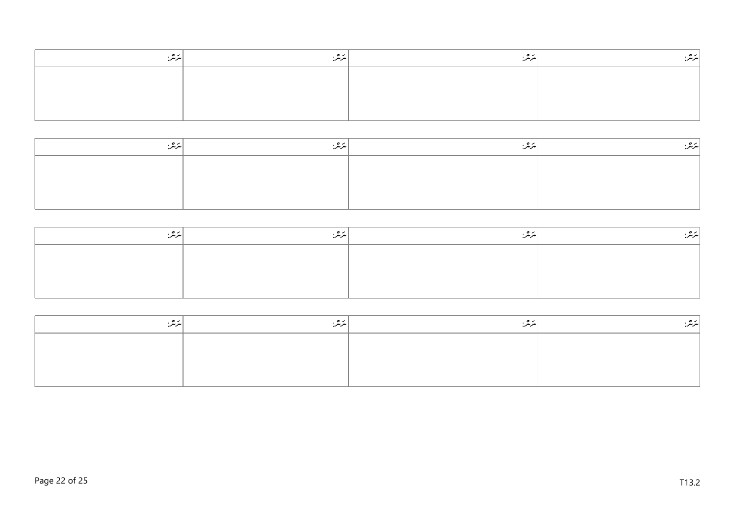| ير هو . | $\overline{\phantom{a}}$ | يرمر | اير هنه. |
|---------|--------------------------|------|----------|
|         |                          |      |          |
|         |                          |      |          |
|         |                          |      |          |

| ئىرتىر: | $\sim$<br>ا سرسر . | يئرمثر | o . |
|---------|--------------------|--------|-----|
|         |                    |        |     |
|         |                    |        |     |
|         |                    |        |     |

| 'تترنثر: | . .<br>يسمونس. |  |
|----------|----------------|--|
|          |                |  |
|          |                |  |
|          |                |  |

|  | . ه |
|--|-----|
|  |     |
|  |     |
|  |     |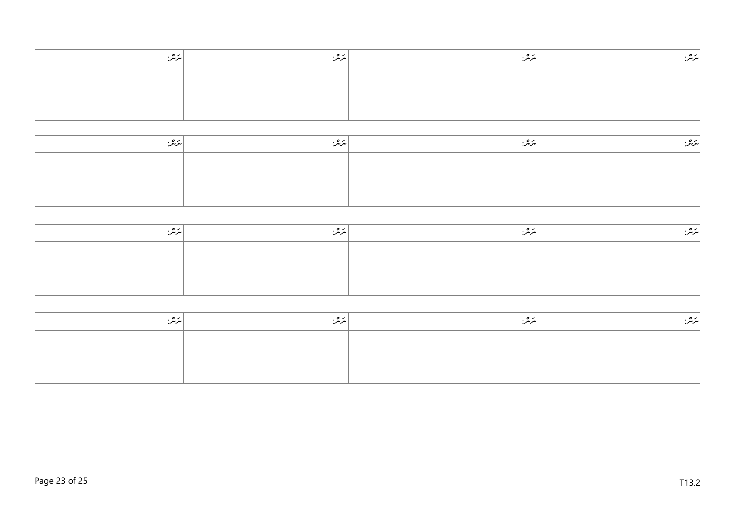| $\cdot$ | 。 | $\frac{\circ}{\cdot}$ | $\sim$<br>سرسر |
|---------|---|-----------------------|----------------|
|         |   |                       |                |
|         |   |                       |                |
|         |   |                       |                |

| يريثن | ' سرسر . |  |
|-------|----------|--|
|       |          |  |
|       |          |  |
|       |          |  |

| بر ه | . ه | $\sim$<br>سرسر |  |
|------|-----|----------------|--|
|      |     |                |  |
|      |     |                |  |
|      |     |                |  |

| 。<br>. س | ىرىىر |  |
|----------|-------|--|
|          |       |  |
|          |       |  |
|          |       |  |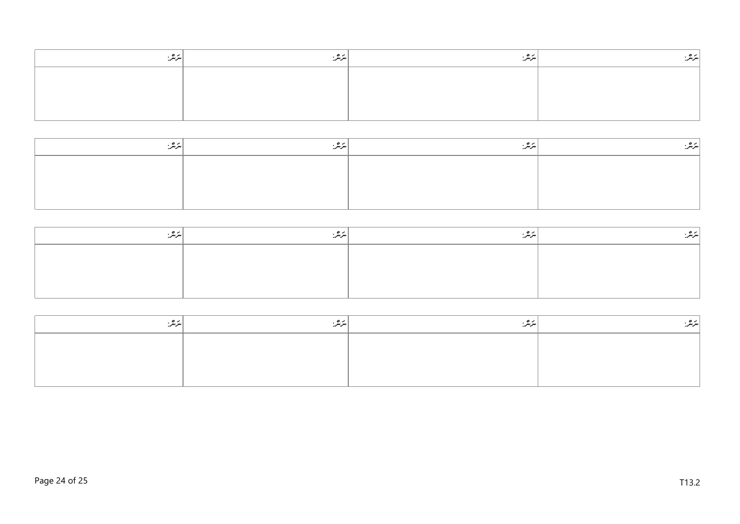| ير هو . | $\overline{\phantom{a}}$ | يرمر | اير هنه. |
|---------|--------------------------|------|----------|
|         |                          |      |          |
|         |                          |      |          |
|         |                          |      |          |

| ئىرتىر: | $\sim$<br>ا سرسر . | يئرمثر | o . |
|---------|--------------------|--------|-----|
|         |                    |        |     |
|         |                    |        |     |
|         |                    |        |     |

| 'تترنثر: | . .<br>يسمونس. |  |
|----------|----------------|--|
|          |                |  |
|          |                |  |
|          |                |  |

| 。 |  |  |
|---|--|--|
|   |  |  |
|   |  |  |
|   |  |  |